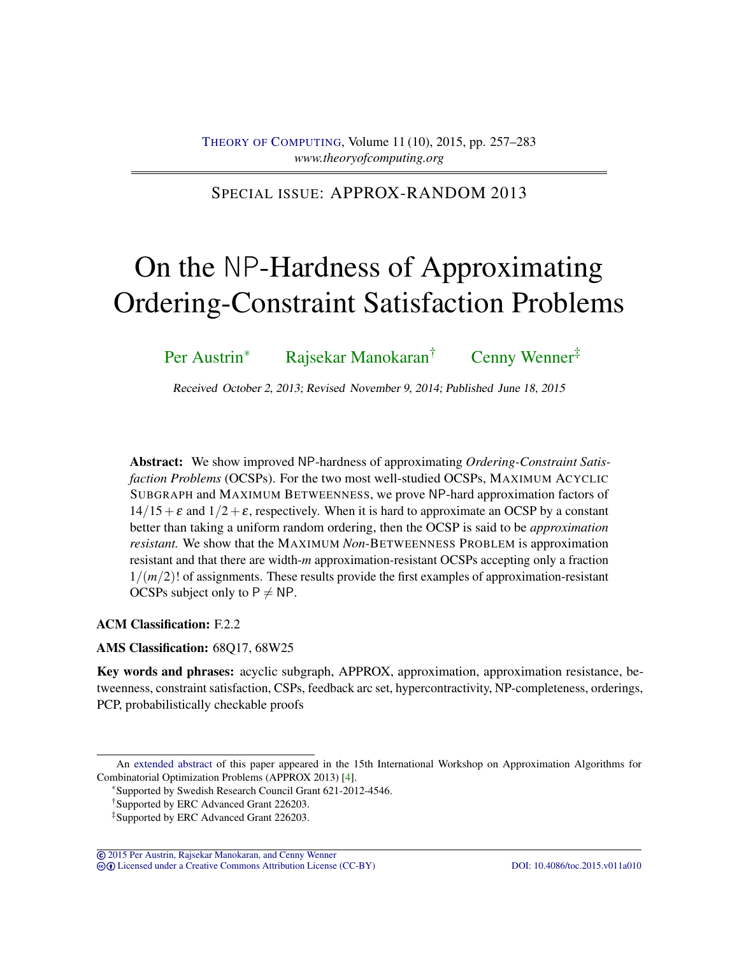# SPECIAL ISSUE: APPROX-RANDOM 2013

# On the NP-Hardness of Approximating Ordering-Constraint Satisfaction Problems

Per Austrin<sup>∗</sup> Rajsekar Manokaran<sup>†</sup> Cenny Wenner<sup>‡</sup>

Received October 2, 2013; Revised November 9, 2014; Published June 18, 2015

Abstract: We show improved NP-hardness of approximating *Ordering-Constraint Satisfaction Problems* (OCSPs). For the two most well-studied OCSPs, MAXIMUM ACYCLIC SUBGRAPH and MAXIMUM BETWEENNESS, we prove NP-hard approximation factors of  $14/15+\epsilon$  and  $1/2+\epsilon$ , respectively. When it is hard to approximate an OCSP by a constant better than taking a uniform random ordering, then the OCSP is said to be *approximation resistant.* We show that the MAXIMUM *Non-*BETWEENNESS PROBLEM is approximation resistant and that there are width-*m* approximation-resistant OCSPs accepting only a fraction  $1/(m/2)!$  of assignments. These results provide the first examples of approximation-resistant OCSPs subject only to  $P \neq NP$ .

# ACM Classification: F.2.2

# AMS Classification: 68Q17, 68W25

Key words and phrases: acyclic subgraph, APPROX, approximation, approximation resistance, betweenness, constraint satisfaction, CSPs, feedback arc set, hypercontractivity, NP-completeness, orderings, PCP, probabilistically checkable proofs

© 2015 Per Austrin, Rajsekar Manokaran, and Cenny Wenner cb Licensed under a Creative Commons Attribution License (CC-BY) DOI: 10.4086/toc.2015.v011a010

An extended abstract of this paper appeared in the 15th International Workshop on Approximation Algorithms for Combinatorial Optimization Problems (APPROX 2013) [4].

<sup>∗</sup>Supported by Swedish Research Council Grant 621-2012-4546.

<sup>†</sup>Supported by ERC Advanced Grant 226203.

<sup>‡</sup>Supported by ERC Advanced Grant 226203.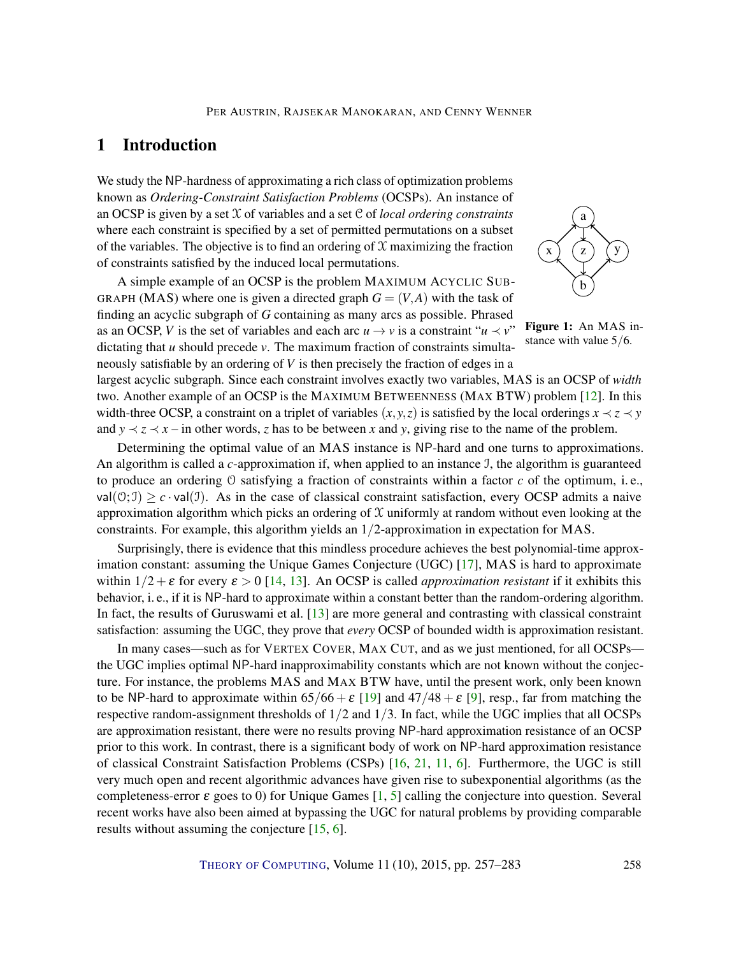# 1 Introduction

We study the NP-hardness of approximating a rich class of optimization problems known as *Ordering-Constraint Satisfaction Problems* (OCSPs). An instance of an OCSP is given by a set X of variables and a set C of *local ordering constraints* where each constraint is specified by a set of permitted permutations on a subset of the variables. The objective is to find an ordering of  $X$  maximizing the fraction of constraints satisfied by the induced local permutations.

A simple example of an OCSP is the problem MAXIMUM ACYCLIC SUB-GRAPH (MAS) where one is given a directed graph  $G = (V, A)$  with the task of finding an acyclic subgraph of *G* containing as many arcs as possible. Phrased as an OCSP, *V* is the set of variables and each arc  $u \rightarrow v$  is a constraint " $u \prec v$ " dictating that *u* should precede *v*. The maximum fraction of constraints simultaneously satisfiable by an ordering of *V* is then precisely the fraction of edges in a



Figure 1: An MAS instance with value 5/6.

largest acyclic subgraph. Since each constraint involves exactly two variables, MAS is an OCSP of *width* two. Another example of an OCSP is the MAXIMUM BETWEENNESS (MAX BTW) problem [12]. In this width-three OCSP, a constraint on a triplet of variables  $(x, y, z)$  is satisfied by the local orderings  $x \prec z \prec y$ and  $y \prec z \prec x$  – in other words, *z* has to be between *x* and *y*, giving rise to the name of the problem.

Determining the optimal value of an MAS instance is NP-hard and one turns to approximations. An algorithm is called a *c*-approximation if, when applied to an instance I, the algorithm is guaranteed to produce an ordering O satisfying a fraction of constraints within a factor *c* of the optimum, i. e., val( $\vartheta$ ; I)  $\geq c \cdot$  val(J). As in the case of classical constraint satisfaction, every OCSP admits a naive approximation algorithm which picks an ordering of  $X$  uniformly at random without even looking at the constraints. For example, this algorithm yields an 1/2-approximation in expectation for MAS.

Surprisingly, there is evidence that this mindless procedure achieves the best polynomial-time approximation constant: assuming the Unique Games Conjecture (UGC) [17], MAS is hard to approximate within  $1/2 + \varepsilon$  for every  $\varepsilon > 0$  [14, 13]. An OCSP is called *approximation resistant* if it exhibits this behavior, i. e., if it is NP-hard to approximate within a constant better than the random-ordering algorithm. In fact, the results of Guruswami et al. [13] are more general and contrasting with classical constraint satisfaction: assuming the UGC, they prove that *every* OCSP of bounded width is approximation resistant.

In many cases—such as for VERTEX COVER, MAX CUT, and as we just mentioned, for all OCSPs the UGC implies optimal NP-hard inapproximability constants which are not known without the conjecture. For instance, the problems MAS and MAX BTW have, until the present work, only been known to be NP-hard to approximate within  $65/66 + \varepsilon$  [19] and  $47/48 + \varepsilon$  [9], resp., far from matching the respective random-assignment thresholds of  $1/2$  and  $1/3$ . In fact, while the UGC implies that all OCSPs are approximation resistant, there were no results proving NP-hard approximation resistance of an OCSP prior to this work. In contrast, there is a significant body of work on NP-hard approximation resistance of classical Constraint Satisfaction Problems (CSPs) [16, 21, 11, 6]. Furthermore, the UGC is still very much open and recent algorithmic advances have given rise to subexponential algorithms (as the completeness-error  $\varepsilon$  goes to 0) for Unique Games [1, 5] calling the conjecture into question. Several recent works have also been aimed at bypassing the UGC for natural problems by providing comparable results without assuming the conjecture [15, 6].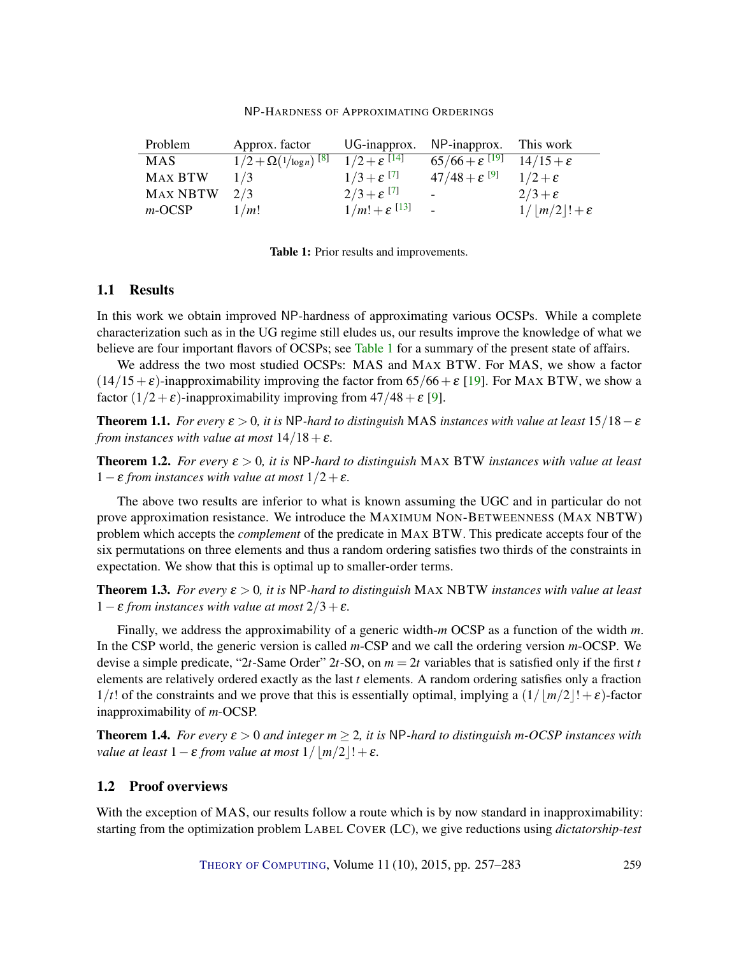| NP-HARDNESS OF APPROXIMATING ORDERINGS |
|----------------------------------------|
|----------------------------------------|

| Problem         | Approx. factor               |                                     | UG-inapprox. NP-inapprox.   | This work              |
|-----------------|------------------------------|-------------------------------------|-----------------------------|------------------------|
| <b>MAS</b>      | $1/2 + \Omega(1/\log n)^{8}$ | $1/2 + \varepsilon$ <sup>[14]</sup> | $65/66 + \varepsilon^{119}$ | $14/15+\epsilon$       |
| <b>MAX BTW</b>  | 1/3                          | $1/3 + \varepsilon^{[7]}$           | $47/48 + \varepsilon^{[9]}$ | $1/2+\epsilon$         |
| <b>MAX NBTW</b> | 2/3                          | $2/3 + \varepsilon^{[7]}$           | $\overline{\phantom{0}}$    | $2/3+\epsilon$         |
| $m$ -OCSP       | 1/m!                         | $1/m! + \varepsilon^{13}$           | $\sim$                      | $1/ m/2 !+\varepsilon$ |

| Table 1: Prior results and improvements. |
|------------------------------------------|
|------------------------------------------|

## 1.1 Results

In this work we obtain improved NP-hardness of approximating various OCSPs. While a complete characterization such as in the UG regime still eludes us, our results improve the knowledge of what we believe are four important flavors of OCSPs; see Table 1 for a summary of the present state of affairs.

We address the two most studied OCSPs: MAS and MAX BTW. For MAS, we show a factor  $(14/15+\epsilon)$ -inapproximability improving the factor from 65/66+ $\epsilon$  [19]. For MAX BTW, we show a factor  $(1/2 + \varepsilon)$ -inapproximability improving from  $47/48 + \varepsilon$  [9].

**Theorem 1.1.** *For every*  $\varepsilon > 0$ , *it is* NP-hard to distinguish MAS *instances with value at least*  $15/18 - \varepsilon$ *from instances with value at most*  $14/18+\epsilon$ *.* 

**Theorem 1.2.** *For every*  $\varepsilon > 0$ , *it is* NP-hard to distinguish MAX BTW *instances with value at least* 1−<sup>ε</sup> *from instances with value at most* 1/2+ε*.*

The above two results are inferior to what is known assuming the UGC and in particular do not prove approximation resistance. We introduce the MAXIMUM NON-BETWEENNESS (MAX NBTW) problem which accepts the *complement* of the predicate in MAX BTW. This predicate accepts four of the six permutations on three elements and thus a random ordering satisfies two thirds of the constraints in expectation. We show that this is optimal up to smaller-order terms.

**Theorem 1.3.** *For every*  $\varepsilon > 0$ , *it is* NP-hard to distinguish MAX NBTW *instances with value at least* 1−<sup>ε</sup> *from instances with value at most* 2/3+ε*.*

Finally, we address the approximability of a generic width-*m* OCSP as a function of the width *m*. In the CSP world, the generic version is called *m*-CSP and we call the ordering version *m*-OCSP. We devise a simple predicate, "2*t*-Same Order" 2*t*-SO, on *m* = 2*t* variables that is satisfied only if the first *t* elements are relatively ordered exactly as the last *t* elements. A random ordering satisfies only a fraction  $1/t!$  of the constraints and we prove that this is essentially optimal, implying a  $(1/|\frac{m}{2}|+\epsilon)$ -factor inapproximability of *m*-OCSP.

**Theorem 1.4.** *For every*  $\varepsilon > 0$  *and integer*  $m \geq 2$ *, it is* NP*-hard to distinguish m-OCSP instances with value at least*  $1 - \varepsilon$  *from value at most*  $1/$   $|m/2|! + \varepsilon$ *.* 

## 1.2 Proof overviews

With the exception of MAS, our results follow a route which is by now standard in inapproximability: starting from the optimization problem LABEL COVER (LC), we give reductions using *dictatorship-test*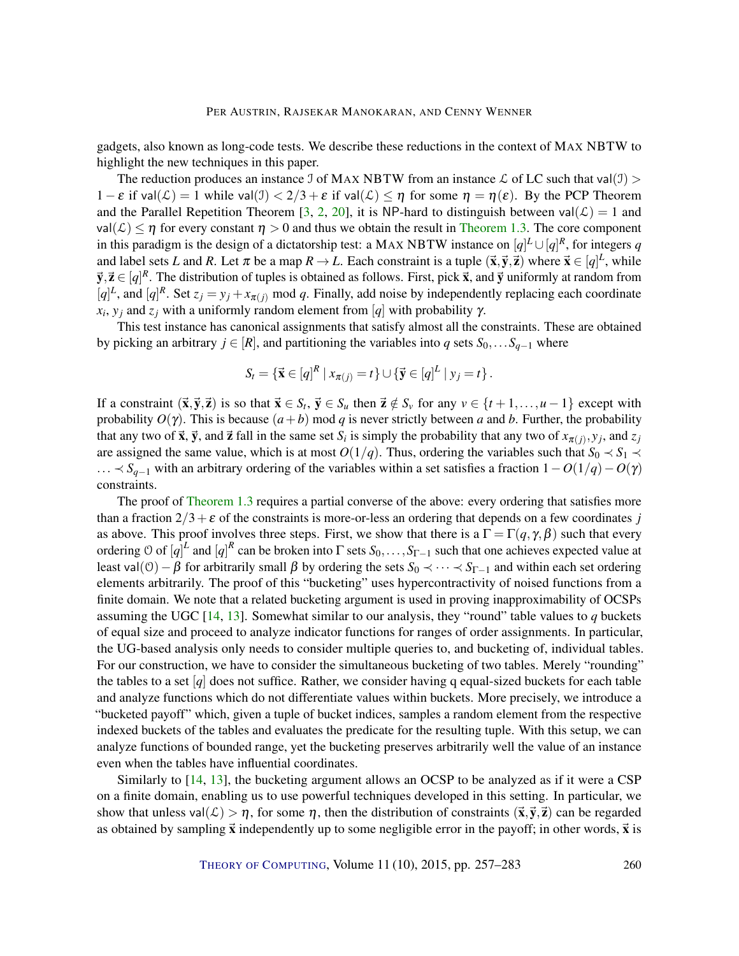gadgets, also known as long-code tests. We describe these reductions in the context of MAX NBTW to highlight the new techniques in this paper.

The reduction produces an instance J of MAX NBTW from an instance L of LC such that val(J) >  $1 - \varepsilon$  if val $(\mathcal{L}) = 1$  while val $(\mathcal{I}) < 2/3 + \varepsilon$  if val $(\mathcal{L}) \leq \eta$  for some  $\eta = \eta(\varepsilon)$ . By the PCP Theorem and the Parallel Repetition Theorem [3, 2, 20], it is NP-hard to distinguish between val $(\mathcal{L}) = 1$  and  $\mathsf{val}(\mathcal{L}) \leq \eta$  for every constant  $\eta > 0$  and thus we obtain the result in Theorem 1.3. The core component in this paradigm is the design of a dictatorship test: a MAX NBTW instance on  $[q]^L \cup [q]^R$ , for integers *q* and label sets *L* and *R*. Let  $\pi$  be a map  $R \to L$ . Each constraint is a tuple  $(\vec{x}, \vec{y}, \vec{z})$  where  $\vec{x} \in [q]^L$ , while  $\vec{y}, \vec{z} \in [q]^R$ . The distribution of tuples is obtained as follows. First, pick  $\vec{x}$ , and  $\vec{y}$  uniformly at random from [*q*]<sup>*L*</sup>, and [*q*]<sup>*R*</sup>. Set  $z_j = y_j + x_{\pi(j)}$  mod *q*. Finally, add noise by independently replacing each coordinate  $x_i$ ,  $y_j$  and  $z_j$  with a uniformly random element from [*q*] with probability  $\gamma$ .

This test instance has canonical assignments that satisfy almost all the constraints. These are obtained by picking an arbitrary  $j \in [R]$ , and partitioning the variables into *q* sets  $S_0, \ldots, S_{q-1}$  where

$$
S_t = \left\{ \vec{\mathbf{x}} \in [q]^R \mid x_{\pi(j)} = t \right\} \cup \left\{ \vec{\mathbf{y}} \in [q]^L \mid y_j = t \right\}.
$$

If a constraint  $(\vec{x}, \vec{y}, \vec{z})$  is so that  $\vec{x} \in S_t$ ,  $\vec{y} \in S_u$  then  $\vec{z} \notin S_v$  for any  $v \in \{t+1, ..., u-1\}$  except with probability  $O(\gamma)$ . This is because  $(a + b)$  mod *q* is never strictly between *a* and *b*. Further, the probability that any two of  $\vec{x}$ ,  $\vec{y}$ , and  $\vec{z}$  fall in the same set *S*<sup>*i*</sup> is simply the probability that any two of  $x_{\pi(j)}, y_j$ , and  $z_j$ are assigned the same value, which is at most  $O(1/q)$ . Thus, ordering the variables such that  $S_0 \prec S_1 \prec$ ... ≺ *Sq*−<sup>1</sup> with an arbitrary ordering of the variables within a set satisfies a fraction 1−*O*(1/*q*)−*O*(γ) constraints.

The proof of Theorem 1.3 requires a partial converse of the above: every ordering that satisfies more than a fraction  $2/3 + \varepsilon$  of the constraints is more-or-less an ordering that depends on a few coordinates *j* as above. This proof involves three steps. First, we show that there is a  $\Gamma = \Gamma(q, \gamma, \beta)$  such that every ordering  $O$  of  $[q]^L$  and  $[q]^R$  can be broken into  $\Gamma$  sets  $S_0, \ldots, S_{\Gamma-1}$  such that one achieves expected value at least val(O) – β for arbitrarily small β by ordering the sets  $S_0$  ≺ ··· ≺  $S_{\Gamma-1}$  and within each set ordering elements arbitrarily. The proof of this "bucketing" uses hypercontractivity of noised functions from a finite domain. We note that a related bucketing argument is used in proving inapproximability of OCSPs assuming the UGC [14, 13]. Somewhat similar to our analysis, they "round" table values to *q* buckets of equal size and proceed to analyze indicator functions for ranges of order assignments. In particular, the UG-based analysis only needs to consider multiple queries to, and bucketing of, individual tables. For our construction, we have to consider the simultaneous bucketing of two tables. Merely "rounding" the tables to a set  $[q]$  does not suffice. Rather, we consider having q equal-sized buckets for each table and analyze functions which do not differentiate values within buckets. More precisely, we introduce a "bucketed payoff" which, given a tuple of bucket indices, samples a random element from the respective indexed buckets of the tables and evaluates the predicate for the resulting tuple. With this setup, we can analyze functions of bounded range, yet the bucketing preserves arbitrarily well the value of an instance even when the tables have influential coordinates.

Similarly to [14, 13], the bucketing argument allows an OCSP to be analyzed as if it were a CSP on a finite domain, enabling us to use powerful techniques developed in this setting. In particular, we show that unless val $(\mathcal{L}) > \eta$ , for some  $\eta$ , then the distribution of constraints  $(\vec{x}, \vec{y}, \vec{z})$  can be regarded as obtained by sampling  $\vec{x}$  independently up to some negligible error in the payoff; in other words,  $\vec{x}$  is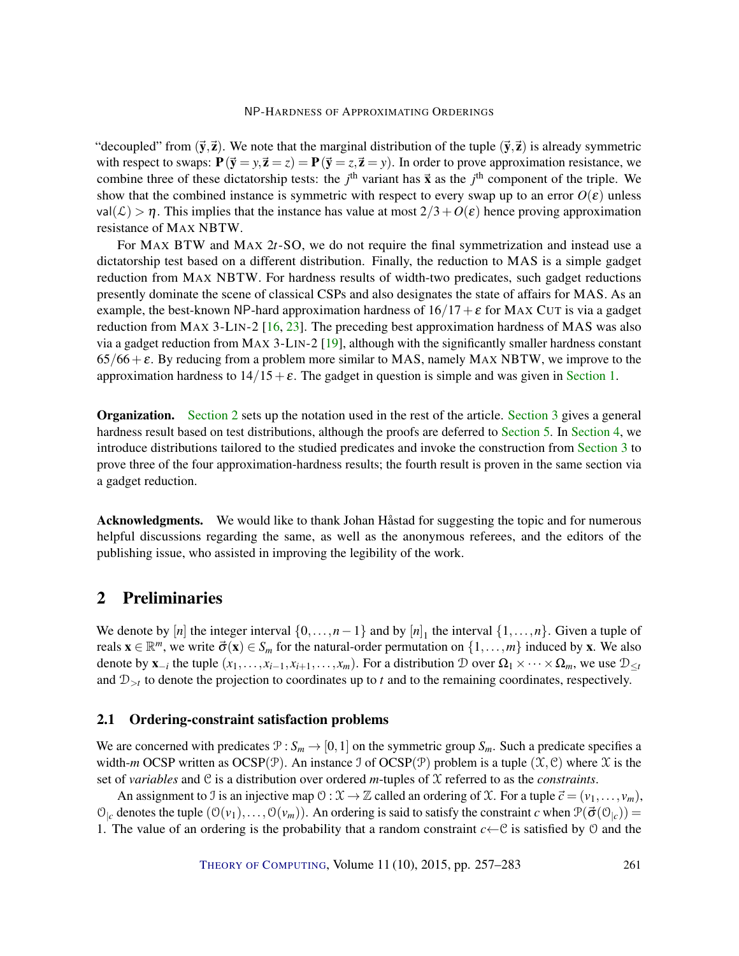"decoupled" from  $(\vec{y}, \vec{z})$ . We note that the marginal distribution of the tuple  $(\vec{y}, \vec{z})$  is already symmetric with respect to swaps:  $P(\vec{y} = y, \vec{z} = z) = P(\vec{y} = z, \vec{z} = y)$ . In order to prove approximation resistance, we combine three of these dictatorship tests: the *j*<sup>th</sup> variant has  $\vec{x}$  as the *j*<sup>th</sup> component of the triple. We show that the combined instance is symmetric with respect to every swap up to an error  $O(\varepsilon)$  unless  $val(\mathcal{L}) > \eta$ . This implies that the instance has value at most  $2/3 + O(\varepsilon)$  hence proving approximation resistance of MAX NBTW.

For MAX BTW and MAX 2*t*-SO, we do not require the final symmetrization and instead use a dictatorship test based on a different distribution. Finally, the reduction to MAS is a simple gadget reduction from MAX NBTW. For hardness results of width-two predicates, such gadget reductions presently dominate the scene of classical CSPs and also designates the state of affairs for MAS. As an example, the best-known NP-hard approximation hardness of  $16/17 + \varepsilon$  for MAX CUT is via a gadget reduction from MAX 3-LIN-2 [16, 23]. The preceding best approximation hardness of MAS was also via a gadget reduction from MAX 3-LIN-2 [19], although with the significantly smaller hardness constant  $65/66+\epsilon$ . By reducing from a problem more similar to MAS, namely MAX NBTW, we improve to the approximation hardness to  $14/15+\epsilon$ . The gadget in question is simple and was given in Section 1.

Organization. Section 2 sets up the notation used in the rest of the article. Section 3 gives a general hardness result based on test distributions, although the proofs are deferred to Section 5. In Section 4, we introduce distributions tailored to the studied predicates and invoke the construction from Section 3 to prove three of the four approximation-hardness results; the fourth result is proven in the same section via a gadget reduction.

Acknowledgments. We would like to thank Johan Håstad for suggesting the topic and for numerous helpful discussions regarding the same, as well as the anonymous referees, and the editors of the publishing issue, who assisted in improving the legibility of the work.

# 2 Preliminaries

We denote by [*n*] the integer interval  $\{0, \ldots, n-1\}$  and by  $[n]_1$  the interval  $\{1, \ldots, n\}$ . Given a tuple of reals  $\mathbf{x} \in \mathbb{R}^m$ , we write  $\vec{\sigma}(\mathbf{x}) \in S_m$  for the natural-order permutation on  $\{1,\ldots,m\}$  induced by **x**. We also denote by  $\mathbf{x}_{-i}$  the tuple  $(x_1, \ldots, x_{i-1}, x_{i+1}, \ldots, x_m)$ . For a distribution  $\mathcal{D}$  over  $\Omega_1 \times \cdots \times \Omega_m$ , we use  $\mathcal{D}_{\leq t}$ and  $\mathcal{D}_{\geq t}$  to denote the projection to coordinates up to *t* and to the remaining coordinates, respectively.

## 2.1 Ordering-constraint satisfaction problems

We are concerned with predicates  $\mathcal{P}: S_m \to [0,1]$  on the symmetric group  $S_m$ . Such a predicate specifies a width-*m* OCSP written as  $OCSP(\mathcal{P})$ . An instance J of  $OCSP(\mathcal{P})$  problem is a tuple  $(\mathcal{X}, \mathcal{C})$  where  $\mathcal{X}$  is the set of *variables* and C is a distribution over ordered *m*-tuples of X referred to as the *constraints*.

An assignment to J is an injective map  $\mathcal{O}: \mathcal{X} \to \mathbb{Z}$  called an ordering of X. For a tuple  $\vec{c} = (v_1, \ldots, v_m)$ ,  $\mathcal{O}_{|c}$  denotes the tuple  $(\mathcal{O}(v_1), \ldots, \mathcal{O}(v_m))$ . An ordering is said to satisfy the constraint *c* when  $\mathcal{P}(\vec{\sigma}(\mathcal{O}_{|c}))$  = 1. The value of an ordering is the probability that a random constraint  $c \leftarrow C$  is satisfied by  $\theta$  and the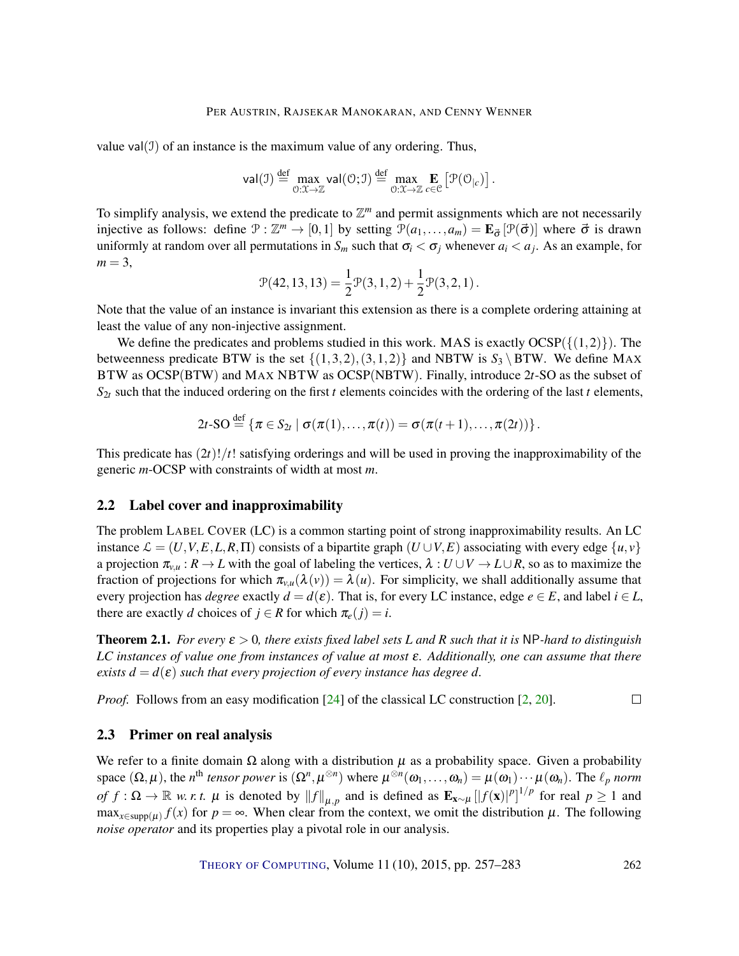value val $(1)$  of an instance is the maximum value of any ordering. Thus,

$$
\mathsf{val}(\mathcal{I}) \stackrel{\text{def}}{=} \max_{\mathcal{O}:\mathcal{X}\to\mathbb{Z}} \mathsf{val}(\mathcal{O};\mathcal{I}) \stackrel{\text{def}}{=} \max_{\mathcal{O}:\mathcal{X}\to\mathbb{Z}} \mathop{\mathbf{E}}_{c\in\mathcal{C}} \left[ \mathcal{P}(\mathcal{O}_{|c}) \right].
$$

To simplify analysis, we extend the predicate to  $\mathbb{Z}^m$  and permit assignments which are not necessarily injective as follows: define  $\mathcal{P} : \mathbb{Z}^m \to [0,1]$  by setting  $\mathcal{P}(a_1,\ldots,a_m) = \mathbf{E}_{\vec{\sigma}}[\mathcal{P}(\vec{\sigma})]$  where  $\vec{\sigma}$  is drawn uniformly at random over all permutations in  $S_m$  such that  $\sigma_i < \sigma_j$  whenever  $a_i < a_j$ . As an example, for  $m = 3$ ,

$$
\mathcal{P}(42,13,13)=\frac{1}{2}\mathcal{P}(3,1,2)+\frac{1}{2}\mathcal{P}(3,2,1)\,.
$$

Note that the value of an instance is invariant this extension as there is a complete ordering attaining at least the value of any non-injective assignment.

We define the predicates and problems studied in this work. MAS is exactly  $OCSP({1,2})$ . The betweenness predicate BTW is the set  $\{(1,3,2), (3,1,2)\}\$  and NBTW is  $S_3 \setminus BTW$ . We define MAX BTW as OCSP(BTW) and MAX NBTW as OCSP(NBTW). Finally, introduce 2*t*-SO as the subset of  $S_{2t}$  such that the induced ordering on the first *t* elements coincides with the ordering of the last *t* elements,

$$
2t\text{-SO} \stackrel{\text{def}}{=} \left\{ \pi \in S_{2t} \mid \sigma(\pi(1),\ldots,\pi(t)) = \sigma(\pi(t+1),\ldots,\pi(2t)) \right\}.
$$

This predicate has (2*t*)!/*t*! satisfying orderings and will be used in proving the inapproximability of the generic *m*-OCSP with constraints of width at most *m*.

## 2.2 Label cover and inapproximability

The problem LABEL COVER (LC) is a common starting point of strong inapproximability results. An LC instance  $\mathcal{L} = (U, V, E, L, R, \Pi)$  consists of a bipartite graph  $(U \cup V, E)$  associating with every edge  $\{u, v\}$ a projection  $\pi_{v,u}: R \to L$  with the goal of labeling the vertices,  $\lambda: U \cup V \to L \cup R$ , so as to maximize the fraction of projections for which  $\pi_{v,u}(\lambda(v)) = \lambda(u)$ . For simplicity, we shall additionally assume that every projection has *degree* exactly  $d = d(\varepsilon)$ . That is, for every LC instance, edge  $e \in E$ , and label  $i \in L$ , there are exactly *d* choices of  $j \in R$  for which  $\pi_e(j) = i$ .

**Theorem 2.1.** For every  $\varepsilon > 0$ , there exists fixed label sets L and R such that it is NP-hard to distinguish *LC instances of value one from instances of value at most* <sup>ε</sup>*. Additionally, one can assume that there exists*  $d = d(\varepsilon)$  *such that every projection of every instance has degree d.* 

*Proof.* Follows from an easy modification [24] of the classical LC construction [2, 20].  $\Box$ 

#### 2.3 Primer on real analysis

We refer to a finite domain  $\Omega$  along with a distribution  $\mu$  as a probability space. Given a probability space  $(\Omega, \mu)$ , the *n*<sup>th</sup> *tensor power* is  $(\Omega^n, \mu^{\otimes n})$  where  $\mu^{\otimes n}(\omega_1, \ldots, \omega_n) = \mu(\omega_1) \cdots \mu(\omega_n)$ . The  $\ell_p$  *norm*  $of f: \Omega \to \mathbb{R}$  *w. r. t.*  $\mu$  is denoted by  $||f||_{\mu,p}$  and is defined as  $\mathbf{E}_{\mathbf{x} \sim \mu} [f(\mathbf{x})^p]^{1/p}$  for real  $p \ge 1$  and  $\max_{x \in \text{supp}(\mu)} f(x)$  for  $p = \infty$ . When clear from the context, we omit the distribution  $\mu$ . The following *noise operator* and its properties play a pivotal role in our analysis.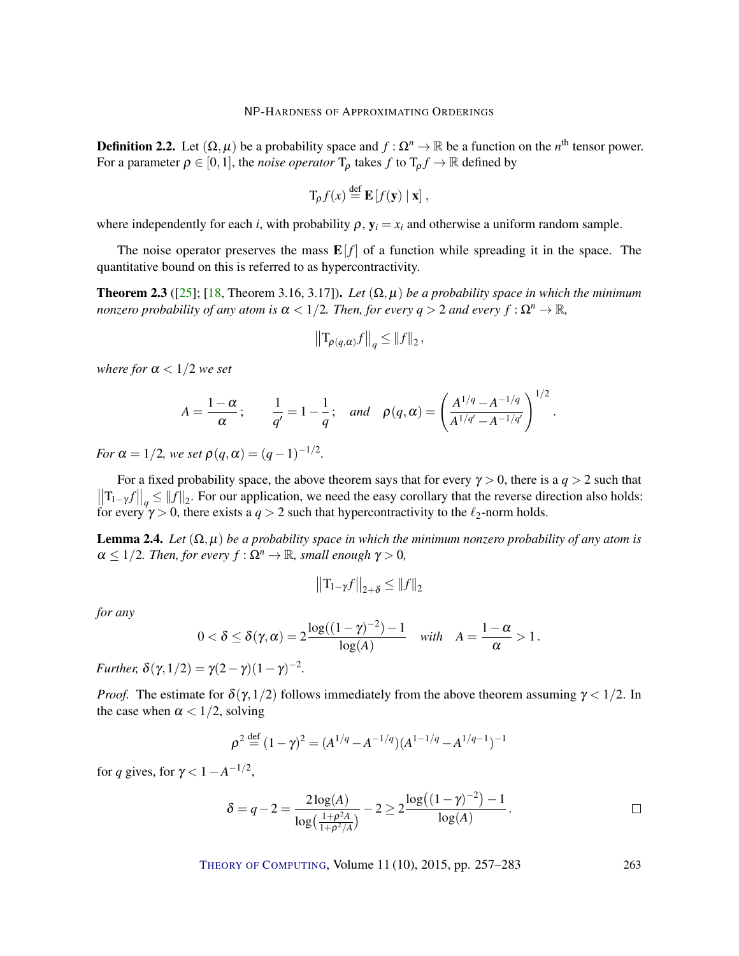**Definition 2.2.** Let  $(\Omega, \mu)$  be a probability space and  $f : \Omega^n \to \mathbb{R}$  be a function on the *n*<sup>th</sup> tensor power. For a parameter  $\rho \in [0,1]$ , the *noise operator*  $T_{\rho}$  takes  $f$  to  $T_{\rho} f \to \mathbb{R}$  defined by

$$
T_{\rho} f(x) \stackrel{\text{def}}{=} \mathbf{E} [f(\mathbf{y}) | \mathbf{x}],
$$

where independently for each *i*, with probability  $\rho$ ,  $y_i = x_i$  and otherwise a uniform random sample.

The noise operator preserves the mass  $E[f]$  of a function while spreading it in the space. The quantitative bound on this is referred to as hypercontractivity.

**Theorem 2.3** ([25]; [18, Theorem 3.16, 3.17]). Let  $(\Omega, \mu)$  be a probability space in which the minimum *nonzero probability of any atom is*  $\alpha < 1/2$ *. Then, for every q > 2 and every f* :  $\Omega^n \to \mathbb{R}$ *,* 

$$
\left\|\mathbf{T}_{\rho(q,\alpha)}f\right\|_q \leq \|f\|_2,
$$

*where for*  $\alpha < 1/2$  *we set* 

$$
A = \frac{1 - \alpha}{\alpha}; \qquad \frac{1}{q'} = 1 - \frac{1}{q}; \quad and \quad \rho(q, \alpha) = \left(\frac{A^{1/q} - A^{-1/q}}{A^{1/q'} - A^{-1/q'}}\right)^{1/2}.
$$

 $1/2$ 

*For*  $\alpha = 1/2$ *, we set*  $\rho(q, \alpha) = (q-1)^{-1/2}$ *.* 

For a fixed probability space, the above theorem says that for every  $\gamma > 0$ , there is a  $q > 2$  such that  $\left\|\mathbf{T}_{1-\gamma}f\right\|_q \leq \|f\|_2$ . For our application, we need the easy corollary that the reverse direction also holds: for every  $\gamma > 0$ , there exists a  $q > 2$  such that hypercontractivity to the  $\ell_2$ -norm holds.

**Lemma 2.4.** *Let*  $(\Omega, \mu)$  *be a probability space in which the minimum nonzero probability of any atom is*  $\alpha \leq 1/2$ *. Then, for every*  $f : \Omega^n \to \mathbb{R}$ *, small enough*  $\gamma > 0$ *,* 

$$
\left\|T_{1-\gamma}f\right\|_{2+\delta}\leq\left\|f\right\|_{2}
$$

*for any*

$$
0<\delta\leq \delta(\gamma,\alpha)=2\frac{\log((1-\gamma)^{-2})-1}{\log(A)}\quad\text{with}\quad A=\frac{1-\alpha}{\alpha}>1\,.
$$

*Further,*  $\delta(\gamma, 1/2) = \gamma(2 - \gamma)(1 - \gamma)^{-2}$ .

*Proof.* The estimate for  $\delta(\gamma, 1/2)$  follows immediately from the above theorem assuming  $\gamma < 1/2$ . In the case when  $\alpha < 1/2$ , solving

$$
\rho^2 \stackrel{\text{def}}{=} (1 - \gamma)^2 = (A^{1/q} - A^{-1/q})(A^{1-1/q} - A^{1/q-1})^{-1}
$$

for *q* gives, for  $\gamma < 1 - A^{-1/2}$ ,

$$
\delta = q - 2 = \frac{2\log(A)}{\log\left(\frac{1+\rho^2 A}{1+\rho^2/A}\right)} - 2 \geq 2 \frac{\log\left((1-\gamma)^{-2}\right) - 1}{\log(A)}.
$$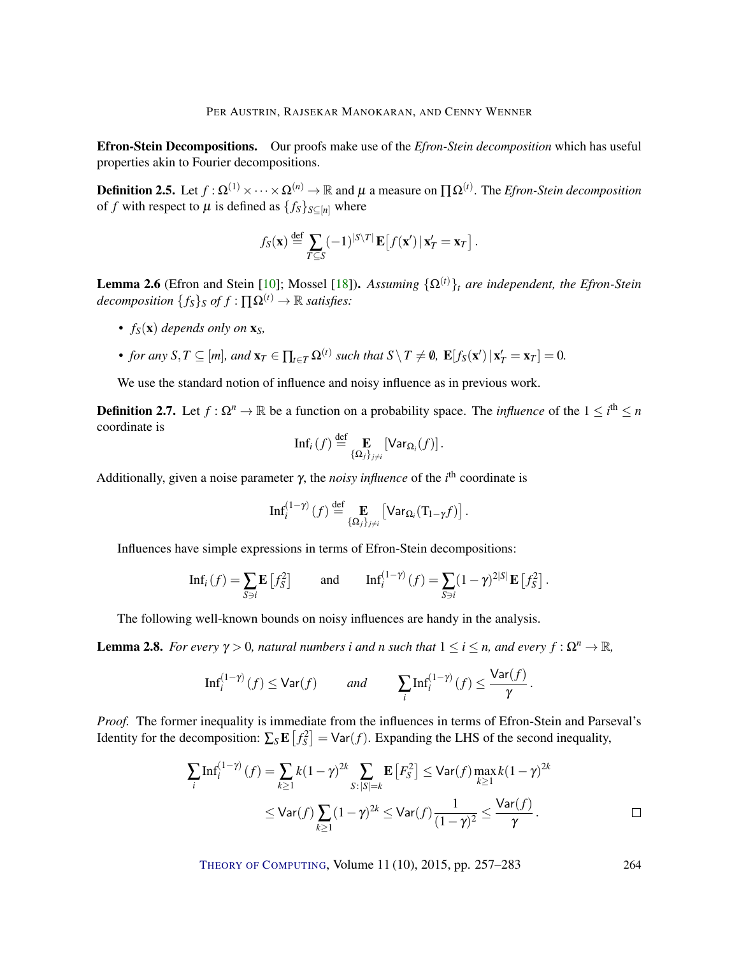Efron-Stein Decompositions. Our proofs make use of the *Efron-Stein decomposition* which has useful properties akin to Fourier decompositions.

**Definition 2.5.** Let  $f : \Omega^{(1)} \times \cdots \times \Omega^{(n)} \to \mathbb{R}$  and  $\mu$  a measure on  $\Pi \Omega^{(t)}$ . The *Efron-Stein decomposition* of *f* with respect to  $\mu$  is defined as  $\{f_s\}_{s \subseteq [n]}$  where

$$
f_S(\mathbf{x}) \stackrel{\text{def}}{=} \sum_{T \subseteq S} (-1)^{|S \setminus T|} \mathbf{E} \big[ f(\mathbf{x}') \, | \, \mathbf{x}'_T = \mathbf{x}_T \big] \, .
$$

**Lemma 2.6** (Efron and Stein [10]; Mossel [18]). *Assuming*  $\{\Omega^{(t)}\}_t$  *are independent, the Efron-Stein decomposition*  ${f_s}_s$ *s of*  $f : \Pi \Omega^{(t)} \to \mathbb{R}$  *satisfies:* 

- *fS*(x) *depends only on* x*S,*
- *• for any S*, *T* ⊆ [*m*], *and*  $\mathbf{x}_T$  ∈  $\prod_{t \in T} \Omega^{(t)}$  *such that*  $S \setminus T \neq \emptyset$ ,  $\mathbf{E}[f_S(\mathbf{x}') | \mathbf{x}'_T = \mathbf{x}_T] = 0$ .

We use the standard notion of influence and noisy influence as in previous work.

**Definition 2.7.** Let  $f: \Omega^n \to \mathbb{R}$  be a function on a probability space. The *influence* of the  $1 \leq i^{\text{th}} \leq n$ coordinate is

$$
\mathrm{Inf}_i(f) \stackrel{\mathrm{def}}{=} \mathop{\mathbf{E}}_{\{\Omega_j\}_{j\neq i}} \left[\mathrm{Var}_{\Omega_i}(f)\right].
$$

Additionally, given a noise parameter γ, the *noisy influence* of the *i*<sup>th</sup> coordinate is

$$
\mathrm{Inf}_{i}^{(1-\gamma)}(f) \stackrel{\mathrm{def}}{=} \mathop{\mathbf{E}}_{\{\Omega_j\}_{j\neq i}} \left[\mathrm{Var}_{\Omega_i}(T_{1-\gamma}f)\right].
$$

Influences have simple expressions in terms of Efron-Stein decompositions:

$$
\mathrm{Inf}_i(f) = \sum_{S \ni i} \mathbf{E} \left[ f_S^2 \right] \quad \text{and} \quad \mathrm{Inf}_i^{(1-\gamma)} \left( f \right) = \sum_{S \ni i} (1-\gamma)^{2|S|} \mathbf{E} \left[ f_S^2 \right].
$$

The following well-known bounds on noisy influences are handy in the analysis.

**Lemma 2.8.** *For every*  $\gamma > 0$ *, natural numbers i and n such that*  $1 \le i \le n$ *, and every*  $f : \Omega^n \to \mathbb{R}$ *,* 

$$
\mathrm{Inf}_i^{(1-\gamma)}\left(f\right)\leq \mathrm{Var}(f)\qquad \text{ and }\qquad \sum_i\mathrm{Inf}_i^{(1-\gamma)}\left(f\right)\leq \frac{\mathrm{Var}(f)}{\gamma}\,.
$$

*Proof.* The former inequality is immediate from the influences in terms of Efron-Stein and Parseval's Identity for the decomposition:  $\sum_{S} \mathbf{E} [f_S^2] = \text{Var}(f)$ . Expanding the LHS of the second inequality,

$$
\sum_{i} \text{Inf}_{i}^{(1-\gamma)}(f) = \sum_{k \ge 1} k(1-\gamma)^{2k} \sum_{S: |S|=k} \mathbb{E}\left[F_{S}^{2}\right] \le \text{Var}(f) \max_{k \ge 1} k(1-\gamma)^{2k}
$$
  
 
$$
\le \text{Var}(f) \sum_{k \ge 1} (1-\gamma)^{2k} \le \text{Var}(f) \frac{1}{(1-\gamma)^{2}} \le \frac{\text{Var}(f)}{\gamma}.
$$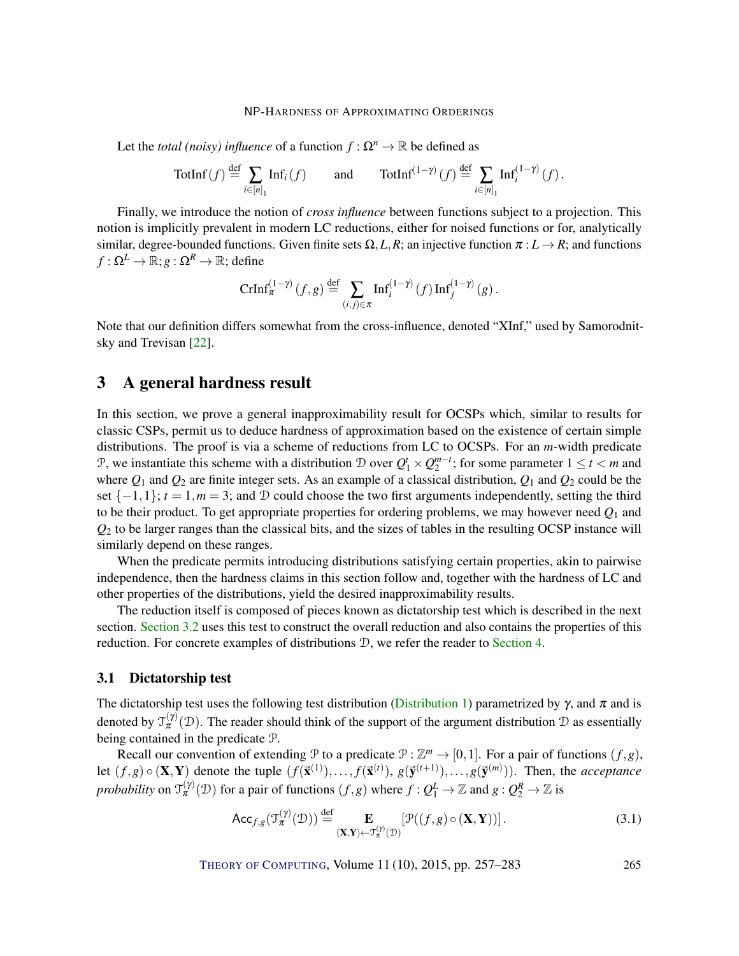Let the *total (noisy) influence* of a function  $f : \Omega^n \to \mathbb{R}$  be defined as

$$
\text{TotInf}(f) \stackrel{\text{def}}{=} \sum_{i \in [n]_1} \text{Inf}_i(f) \quad \text{and} \quad \text{TotInf}^{(1-\gamma)}(f) \stackrel{\text{def}}{=} \sum_{i \in [n]_1} \text{Inf}_i^{(1-\gamma)}(f) \, .
$$

Finally, we introduce the notion of *cross influence* between functions subject to a projection. This notion is implicitly prevalent in modern LC reductions, either for noised functions or for, analytically similar, degree-bounded functions. Given finite sets  $\Omega$ , L, R; an injective function  $\pi : L \to R$ ; and functions  $f: \Omega^L \to \mathbb{R}; g: \Omega^R \to \mathbb{R};$  define

$$
\text{CrInf}_{\pi}^{(1-\gamma)}(f,g) \stackrel{\text{def}}{=} \sum_{(i,j)\in\pi} \text{Inf}_{i}^{(1-\gamma)}(f) \, \text{Inf}_{j}^{(1-\gamma)}(g) \, .
$$

Note that our definition differs somewhat from the cross-influence, denoted "XInf," used by Samorodnitsky and Trevisan [22].

# 3 A general hardness result

In this section, we prove a general inapproximability result for OCSPs which, similar to results for classic CSPs, permit us to deduce hardness of approximation based on the existence of certain simple distributions. The proof is via a scheme of reductions from LC to OCSPs. For an *m*-width predicate P, we instantiate this scheme with a distribution D over  $Q_1^t \times Q_2^{m-t}$ ; for some parameter  $1 \le t < m$  and where *Q*<sup>1</sup> and *Q*<sup>2</sup> are finite integer sets. As an example of a classical distribution, *Q*<sup>1</sup> and *Q*<sup>2</sup> could be the set  $\{-1,1\}$ ;  $t = 1, m = 3$ ; and D could choose the two first arguments independently, setting the third to be their product. To get appropriate properties for ordering problems, we may however need  $Q_1$  and *Q*<sup>2</sup> to be larger ranges than the classical bits, and the sizes of tables in the resulting OCSP instance will similarly depend on these ranges.

When the predicate permits introducing distributions satisfying certain properties, akin to pairwise independence, then the hardness claims in this section follow and, together with the hardness of LC and other properties of the distributions, yield the desired inapproximability results.

The reduction itself is composed of pieces known as dictatorship test which is described in the next section. Section 3.2 uses this test to construct the overall reduction and also contains the properties of this reduction. For concrete examples of distributions D, we refer the reader to Section 4.

## 3.1 Dictatorship test

The dictatorship test uses the following test distribution (Distribution 1) parametrized by  $\gamma$ , and  $\pi$  and is denoted by  $\mathfrak{T}_{\pi}^{(\gamma)}(\mathcal{D})$ . The reader should think of the support of the argument distribution  $\mathcal D$  as essentially being contained in the predicate P.

Recall our convention of extending  $\mathcal{P}$  to a predicate  $\mathcal{P} : \mathbb{Z}^m \to [0,1]$ . For a pair of functions  $(f,g)$ , let  $(f, g) \circ (\mathbf{X}, \mathbf{Y})$  denote the tuple  $(f(\mathbf{\vec{x}}^{(1)}), \ldots, f(\mathbf{\vec{x}}^{(t)}), g(\mathbf{\vec{y}}^{(t+1)}), \ldots, g(\mathbf{\vec{y}}^{(m)}))$ . Then, the *acceptance probability* on  $\mathfrak{T}_{\pi}^{(\gamma)}(\mathfrak{D})$  for a pair of functions  $(f, g)$  where  $f: Q_1^L \to \mathbb{Z}$  and  $g: Q_2^R \to \mathbb{Z}$  is

$$
\mathsf{Acc}_{f,g}(\mathfrak{I}_{\pi}^{(\gamma)}(\mathcal{D})) \stackrel{\text{def}}{=} \mathop{\mathbf{E}}_{(\mathbf{X},\mathbf{Y}) \leftarrow \mathfrak{I}_{\pi}^{(\gamma)}(\mathcal{D})} [\mathcal{P}((f,g) \circ (\mathbf{X}, \mathbf{Y}))].
$$
 (3.1)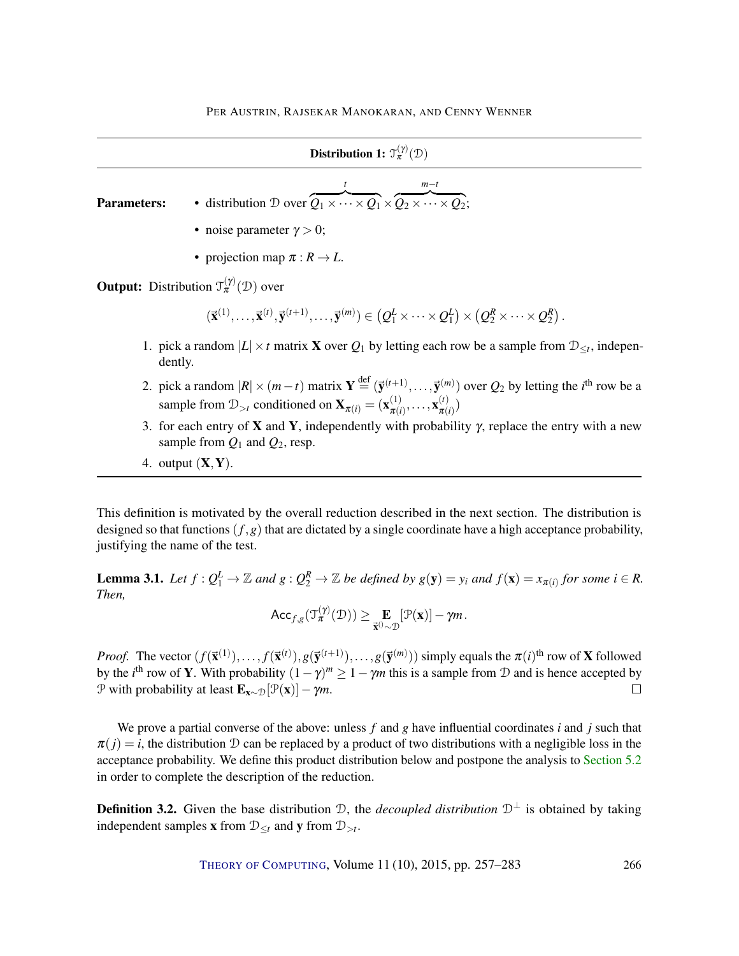| Distribution 1: $\mathfrak{I}_{\pi}^{(\gamma)}(\mathcal{D})$ |                                                                                                                                                                                                                                                                                                                                             |  |  |
|--------------------------------------------------------------|---------------------------------------------------------------------------------------------------------------------------------------------------------------------------------------------------------------------------------------------------------------------------------------------------------------------------------------------|--|--|
| <b>Parameters:</b>                                           | • distribution $\mathcal{D}$ over $\overbrace{Q_1 \times \cdots \times Q_1}^{t} \times \overbrace{Q_2 \times \cdots \times Q_2}^{m-t}$ :                                                                                                                                                                                                    |  |  |
|                                                              | • noise parameter $\gamma > 0$ ;                                                                                                                                                                                                                                                                                                            |  |  |
|                                                              | • projection map $\pi : R \to L$ .                                                                                                                                                                                                                                                                                                          |  |  |
|                                                              | <b>Output:</b> Distribution $\mathcal{T}_{\pi}^{(\gamma)}(\mathcal{D})$ over                                                                                                                                                                                                                                                                |  |  |
|                                                              | $(\vec{\mathbf{x}}^{(1)},\ldots,\vec{\mathbf{x}}^{(t)},\vec{\mathbf{y}}^{(t+1)},\ldots,\vec{\mathbf{y}}^{(m)})\in (Q_1^L\times\cdots\times Q_1^L)\times (Q_2^R\times\cdots\times Q_2^R)$ .                                                                                                                                                  |  |  |
|                                                              | 1. pick a random $ L  \times t$ matrix <b>X</b> over $Q_1$ by letting each row be a sample from $\mathcal{D}_{\leq t}$ , indepen-<br>dently.                                                                                                                                                                                                |  |  |
|                                                              | 2. pick a random $ R  \times (m-t)$ matrix $\mathbf{Y} \stackrel{\text{def}}{=} (\vec{\mathbf{y}}^{(t+1)}, \dots, \vec{\mathbf{y}}^{(m)})$ over $Q_2$ by letting the <i>i</i> <sup>th</sup> row be a<br>sample from $\mathcal{D}_{>t}$ conditioned on $\mathbf{X}_{\pi(i)} = (\mathbf{x}_{\pi(i)}^{(1)}, \dots, \mathbf{x}_{\pi(i)}^{(t)})$ |  |  |
|                                                              | 3. for each entry of <b>X</b> and <b>Y</b> , independently with probability $\gamma$ , replace the entry with a new<br>sample from $Q_1$ and $Q_2$ , resp.                                                                                                                                                                                  |  |  |

4. output  $(X, Y)$ .

This definition is motivated by the overall reduction described in the next section. The distribution is designed so that functions  $(f, g)$  that are dictated by a single coordinate have a high acceptance probability, justifying the name of the test.

**Lemma 3.1.** Let  $f: Q_1^L \to \mathbb{Z}$  and  $g: Q_2^R \to \mathbb{Z}$  be defined by  $g(y) = y_i$  and  $f(x) = x_{\pi(i)}$  for some  $i \in R$ . *Then,*

$$
\mathsf{Acc}_{f,g}(\mathfrak{T}_{\pi}^{(\gamma)}(\mathfrak{D})) \geq \mathop{\mathbf{E}}_{\vec{\mathbf{x}}^{(j)} \sim \mathfrak{D}}[\mathfrak{P}(\mathbf{x})] - \gamma m.
$$

*Proof.* The vector  $(f(\vec{x}^{(1)}),...,f(\vec{x}^{(t)}),g(\vec{y}^{(t+1)}),...,g(\vec{y}^{(m)}))$  simply equals the  $\pi(i)$ <sup>th</sup> row of **X** followed by the *i*<sup>th</sup> row of **Y**. With probability  $(1 - \gamma)^m \ge 1 - \gamma m$  this is a sample from D and is hence accepted by P with probability at least  $\mathbf{E}_{\mathbf{x} \sim \mathcal{D}}[\mathcal{P}(\mathbf{x})] - \gamma m$ .

We prove a partial converse of the above: unless *f* and *g* have influential coordinates *i* and *j* such that  $\pi(j) = i$ , the distribution D can be replaced by a product of two distributions with a negligible loss in the acceptance probability. We define this product distribution below and postpone the analysis to Section 5.2 in order to complete the description of the reduction.

**Definition 3.2.** Given the base distribution  $\mathcal{D}$ , the *decoupled distribution*  $\mathcal{D}^{\perp}$  is obtained by taking independent samples **x** from  $\mathcal{D}_{\leq t}$  and **y** from  $\mathcal{D}_{>t}$ .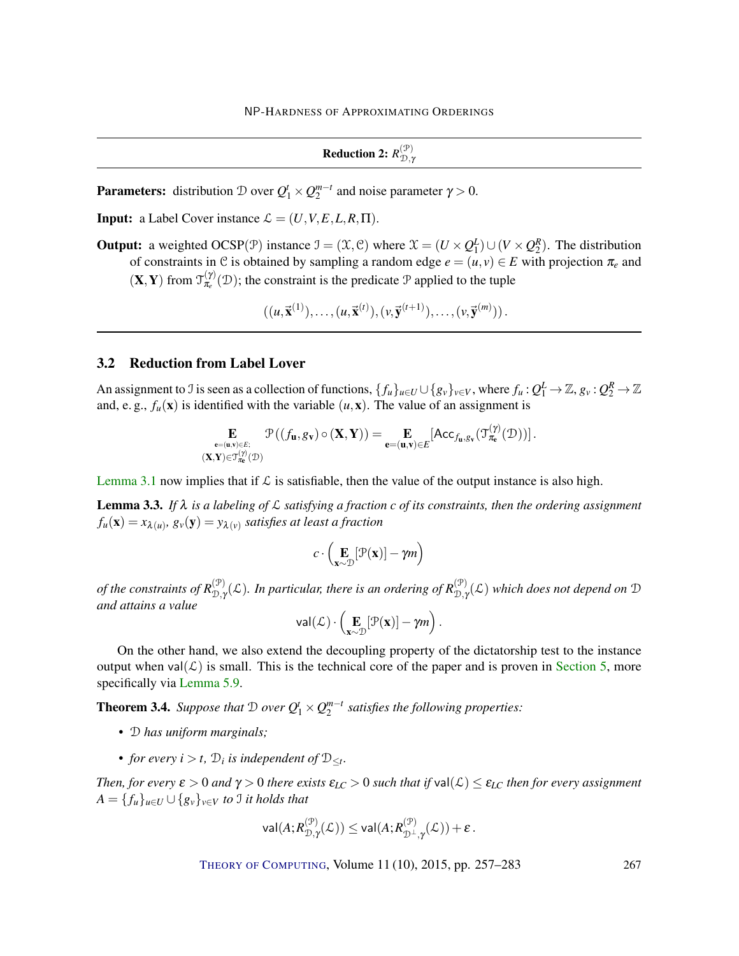**Reduction 2:**  $R_{\mathcal{D},\gamma}^{(\mathcal{P})}$ D,<sup>γ</sup>

**Parameters:** distribution D over  $Q_1^t \times Q_2^{m-t}$  and noise parameter  $\gamma > 0$ .

**Input:** a Label Cover instance  $\mathcal{L} = (U, V, E, L, R, \Pi)$ .

**Output:** a weighted OCSP( $\mathcal{P}$ ) instance  $\mathcal{I} = (\mathcal{X}, \mathcal{C})$  where  $\mathcal{X} = (U \times Q_1^L) \cup (V \times Q_2^R)$ . The distribution of constraints in C is obtained by sampling a random edge  $e = (u, v) \in E$  with projection  $\pi_e$  and  $(\mathbf{X}, \mathbf{Y})$  from  $\mathcal{T}_{\pi_e}^{(\gamma)}$  $\mathcal{L}^{(\gamma)}_{\pi_e}(\mathcal{D})$ ; the constraint is the predicate  $\mathcal P$  applied to the tuple

 $((u, \vec{x}^{(1)}), \ldots, (u, \vec{x}^{(t)}), (v, \vec{y}^{(t+1)}), \ldots, (v, \vec{y}^{(m)}))$ .

## 3.2 Reduction from Label Lover

An assignment to J is seen as a collection of functions,  $\{f_u\}_{u\in U}\cup\{g_v\}_{v\in V}$ , where  $f_u:Q_1^L\to\mathbb{Z}$ ,  $g_v:Q_2^R\to\mathbb{Z}$ and, e. g.,  $f_u(\mathbf{x})$  is identified with the variable  $(u, \mathbf{x})$ . The value of an assignment is

$$
\mathop{\mathbf{E}}_{\substack{\mathbf{e}=(\mathbf{u},\mathbf{v})\in E;\\ (\mathbf{X},\mathbf{Y})\in \mathcal{T}_{\pi_{\mathbf{e}}}^{(\gamma)}(\mathcal{D}))}} \mathcal{P}\left((f_{\mathbf{u}},g_{\mathbf{v}})\circ(\mathbf{X},\mathbf{Y})\right) = \mathop{\mathbf{E}}_{\mathbf{e}=(\mathbf{u},\mathbf{v})\in E}[\text{Acc}_{f_{\mathbf{u}},g_{\mathbf{v}}}(\mathcal{T}_{\pi_{\mathbf{e}}}^{(\gamma)}(\mathcal{D}))].
$$

Lemma 3.1 now implies that if  $\mathcal L$  is satisfiable, then the value of the output instance is also high.

**Lemma 3.3.** If  $\lambda$  is a labeling of  $\mathcal L$  satisfying a fraction c of its constraints, then the ordering assignment  $f_u(\mathbf{x}) = x_{\pmb{\lambda}(u)}, \, g_v(\mathbf{y}) = y_{\pmb{\lambda}(v)}$  satisfies at least a fraction

$$
c \cdot \left(\mathop{\mathbf{E}}_{\mathbf{x}\sim\mathcal{D}}[\mathcal{P}(\mathbf{x})] - \gamma m\right)
$$

*of the constraints of*  $R_{\mathcal{D},\gamma}^{(\mathcal{P})}$  $\binom{\mathcal{P}}{\mathcal{D}, \gamma}$ (L). In particular, there is an ordering of  $R_{\mathcal{D}, \gamma}^{(\mathcal{P})}$  $\mathcal{D}_{\mathcal{D},\gamma}^{(\mathcal{P})}(\mathcal{L})$  which does not depend on  $\mathcal D$ *and attains a value*

$$
\mathsf{val}(\mathcal{L}) \cdot \left( \mathop{\mathbf{E}}_{\mathbf{x} \sim \mathcal{D}} [\mathcal{P}(\mathbf{x})] - \gamma m \right).
$$

On the other hand, we also extend the decoupling property of the dictatorship test to the instance output when val $(\mathcal{L})$  is small. This is the technical core of the paper and is proven in Section 5, more specifically via Lemma 5.9.

**Theorem 3.4.** *Suppose that*  $\mathcal{D}$  *over*  $Q_1^t \times Q_2^{m-t}$  *satisfies the following properties:* 

- *•* D *has uniform marginals;*
- *for every*  $i > t$ ,  $\mathcal{D}_i$  *is independent of*  $\mathcal{D}_{\leq t}$ *.*

*Then, for every*  $\varepsilon > 0$  *and*  $\gamma > 0$  *there exists*  $\varepsilon_{LC} > 0$  *such that if* val $(\mathcal{L}) \leq \varepsilon_{LC}$  *then for every assignment*  $A = \{f_u\}_{u \in U} \cup \{g_v\}_{v \in V}$  *to* J *it holds that* 

$$
\mathsf{val}(A; R^{(\mathcal{P})}_{\mathcal{D}, \gamma}(\mathcal{L})) \leq \mathsf{val}(A; R^{(\mathcal{P})}_{\mathcal{D}^\perp, \gamma}(\mathcal{L})) + \varepsilon\,.
$$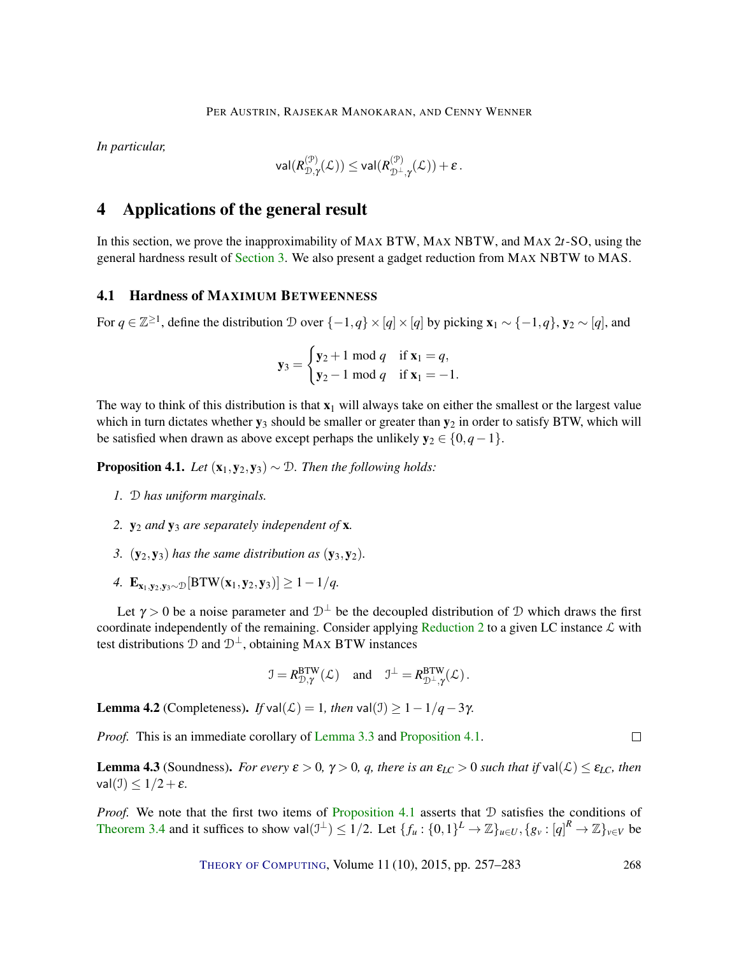*In particular,*

$$
\mathsf{val}(R_{\mathcal{D}, \gamma}^{(\mathcal{P})}(\mathcal{L})) \leq \mathsf{val}(R_{\mathcal{D}^{\perp}, \gamma}^{(\mathcal{P})}(\mathcal{L})) + \varepsilon\,.
$$

# 4 Applications of the general result

In this section, we prove the inapproximability of MAX BTW, MAX NBTW, and MAX 2*t*-SO, using the general hardness result of Section 3. We also present a gadget reduction from MAX NBTW to MAS.

#### 4.1 Hardness of MAXIMUM BETWEENNESS

For  $q \in \mathbb{Z}^{\geq 1}$ , define the distribution D over  $\{-1,q\} \times [q] \times [q]$  by picking  $\mathbf{x}_1 \sim \{-1,q\}$ ,  $\mathbf{y}_2 \sim [q]$ , and

$$
y_3 = \begin{cases} y_2 + 1 \text{ mod } q & \text{if } x_1 = q, \\ y_2 - 1 \text{ mod } q & \text{if } x_1 = -1. \end{cases}
$$

The way to think of this distribution is that  $x_1$  will always take on either the smallest or the largest value which in turn dictates whether  $y_3$  should be smaller or greater than  $y_2$  in order to satisfy BTW, which will be satisfied when drawn as above except perhaps the unlikely  $y_2 \in \{0, q-1\}$ .

**Proposition 4.1.** *Let*  $(x_1, y_2, y_3) \sim \mathcal{D}$ *. Then the following holds:* 

- *1.* D *has uniform marginals.*
- *2.* y<sup>2</sup> *and* y<sup>3</sup> *are separately independent of* x*.*
- *3.*  $(y_2, y_3)$  *has the same distribution as*  $(y_3, y_2)$ *.*
- *4.*  $\mathbf{E}_{\mathbf{x}_1, \mathbf{y}_2, \mathbf{y}_3 \sim D}[\text{BTW}(\mathbf{x}_1, \mathbf{y}_2, \mathbf{y}_3)] \ge 1 1/q.$

Let  $\gamma > 0$  be a noise parameter and  $\mathcal{D}^{\perp}$  be the decoupled distribution of D which draws the first coordinate independently of the remaining. Consider applying Reduction 2 to a given LC instance  $\mathcal L$  with test distributions  $\mathcal{D}$  and  $\mathcal{D}^{\perp}$ , obtaining MAX BTW instances

$$
\mathfrak{I} = R_{\mathcal{D}, \gamma}^{\text{BTW}}(\mathcal{L}) \quad \text{and} \quad \mathfrak{I}^{\perp} = R_{\mathcal{D}^{\perp}, \gamma}^{\text{BTW}}(\mathcal{L}).
$$

**Lemma 4.2** (Completeness). *If* val(*L*) = 1*, then* val(*J*) ≥ 1 − 1/*q* − 3γ.

*Proof.* This is an immediate corollary of Lemma 3.3 and Proposition 4.1.

**Lemma 4.3** (Soundness). *For every*  $\varepsilon > 0$ ,  $\gamma > 0$ , *q, there is an*  $\varepsilon_{LC} > 0$  *such that if* val( $\mathcal{L}$ )  $\leq \varepsilon_{LC}$ *, then* val $(\mathcal{I}) \leq 1/2 + \varepsilon$ .

*Proof.* We note that the first two items of Proposition 4.1 asserts that D satisfies the conditions of Theorem 3.4 and it suffices to show val $(1^{\perp}) \le 1/2$ . Let  $\{f_u: \{0,1\}^L \to \mathbb{Z}\}_{u \in U}, \{g_v: [q]^R \to \mathbb{Z}\}_{v \in V}$  be

THEORY OF COMPUTING, Volume 11 (10), 2015, pp. 257–283 268

 $\Box$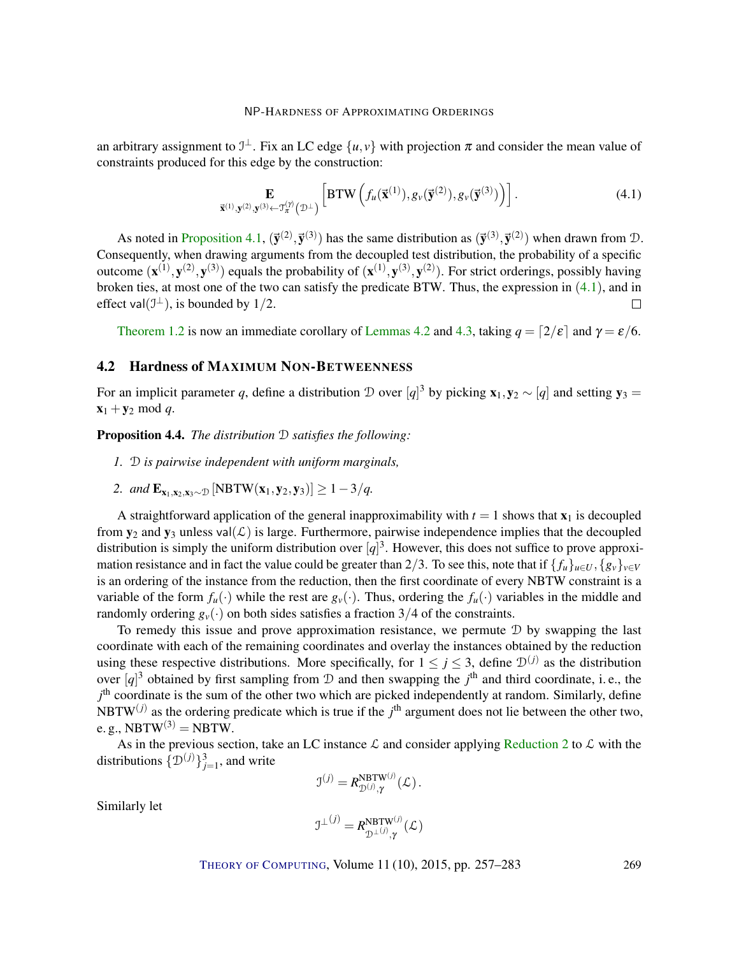an arbitrary assignment to  $\mathcal{I}^{\perp}$ . Fix an LC edge  $\{u, v\}$  with projection  $\pi$  and consider the mean value of constraints produced for this edge by the construction:

$$
\mathbf{E}_{\vec{\mathbf{x}}^{(1)},\mathbf{y}^{(2)},\mathbf{y}^{(3)} \leftarrow \mathcal{T}_{\pi}^{(\gamma)}(\mathcal{D}^{\perp})} \left[ \mathbf{BTW}\left(f_u(\vec{\mathbf{x}}^{(1)}), g_v(\vec{\mathbf{y}}^{(2)}), g_v(\vec{\mathbf{y}}^{(3)})\right) \right]. \tag{4.1}
$$

As noted in Proposition 4.1,  $(\vec{y}^{(2)}, \vec{y}^{(3)})$  has the same distribution as  $(\vec{y}^{(3)}, \vec{y}^{(2)})$  when drawn from D. Consequently, when drawing arguments from the decoupled test distribution, the probability of a specific outcome  $(\mathbf{x}^{(1)}, \mathbf{y}^{(2)}, \mathbf{y}^{(3)})$  equals the probability of  $(\mathbf{x}^{(1)}, \mathbf{y}^{(3)}, \mathbf{y}^{(2)})$ . For strict orderings, possibly having broken ties, at most one of the two can satisfy the predicate BTW. Thus, the expression in  $(4.1)$ , and in effect val $(\mathcal{I}^{\perp})$ , is bounded by 1/2.  $\Box$ 

Theorem 1.2 is now an immediate corollary of Lemmas 4.2 and 4.3, taking  $q = \lfloor 2/\varepsilon \rfloor$  and  $\gamma = \varepsilon/6$ .

## 4.2 Hardness of MAXIMUM NON-BETWEENNESS

For an implicit parameter *q*, define a distribution  $D$  over  $[q]^3$  by picking  $\mathbf{x}_1, \mathbf{y}_2 \sim [q]$  and setting  $\mathbf{y}_3 =$  $\mathbf{x}_1 + \mathbf{y}_2 \mod q$ .

Proposition 4.4. *The distribution* D *satisfies the following:*

- *1.* D *is pairwise independent with uniform marginals,*
- 2. *and*  $\mathbf{E}_{\mathbf{x}_1, \mathbf{x}_2, \mathbf{x}_3 \sim D}$  [NBTW( $\mathbf{x}_1, \mathbf{y}_2, \mathbf{y}_3$ )] ≥ 1 − 3/*q*.

A straightforward application of the general inapproximability with  $t = 1$  shows that  $x_1$  is decoupled from  $y_2$  and  $y_3$  unless val $(\mathcal{L})$  is large. Furthermore, pairwise independence implies that the decoupled distribution is simply the uniform distribution over  $[q]^3$ . However, this does not suffice to prove approximation resistance and in fact the value could be greater than 2/3. To see this, note that if  $\{f_u\}_{u\in U}$ ,  $\{g_v\}_{v\in V}$ is an ordering of the instance from the reduction, then the first coordinate of every NBTW constraint is a variable of the form  $f_u(\cdot)$  while the rest are  $g_v(\cdot)$ . Thus, ordering the  $f_u(\cdot)$  variables in the middle and randomly ordering  $g_y(\cdot)$  on both sides satisfies a fraction 3/4 of the constraints.

To remedy this issue and prove approximation resistance, we permute  $D$  by swapping the last coordinate with each of the remaining coordinates and overlay the instances obtained by the reduction using these respective distributions. More specifically, for  $1 \le j \le 3$ , define  $\mathcal{D}^{(j)}$  as the distribution over  $[q]^3$  obtained by first sampling from  $\mathcal D$  and then swapping the  $j^{\text{th}}$  and third coordinate, i.e., the *j*<sup>th</sup> coordinate is the sum of the other two which are picked independently at random. Similarly, define NBTW<sup> $(j)$ </sup> as the ordering predicate which is true if the  $j<sup>th</sup>$  argument does not lie between the other two, e. g., NBT $W^{(3)}$  = NBTW.

As in the previous section, take an LC instance  $\mathcal L$  and consider applying Reduction 2 to  $\mathcal L$  with the distributions  $\{\mathcal{D}^{(j)}\}_{j=1}^3$ , and write

$$
\mathfrak{I}^{(j)} = R_{\mathfrak{D}^{(j)}, \gamma}^{\text{NBTW}^{(j)}}(\mathcal{L})\,.
$$

Similarly let

$$
\mathfrak{I}^{\perp \, (j)} = R^{\mathrm{NBTW}^{(j)}}_{\mathfrak{D}^{\perp \, (j)}, \gamma} (\mathcal{L})
$$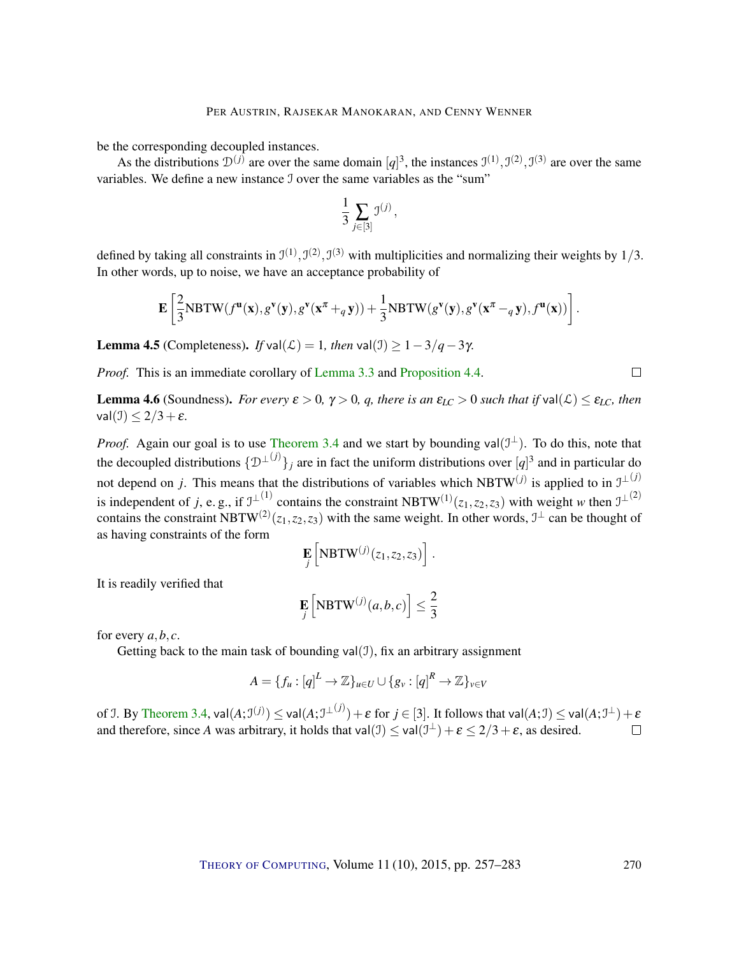be the corresponding decoupled instances.

As the distributions  $\mathcal{D}^{(j)}$  are over the same domain  $[q]^3$ , the instances  $\mathcal{I}^{(1)}, \mathcal{I}^{(2)}, \mathcal{I}^{(3)}$  are over the same variables. We define a new instance I over the same variables as the "sum"

$$
\frac{1}{3}\sum_{j\in[3]}{\mathfrak I}^{(j)}\,,
$$

defined by taking all constraints in  $\mathfrak{I}^{(1)}, \mathfrak{I}^{(2)}, \mathfrak{I}^{(3)}$  with multiplicities and normalizing their weights by  $1/3$ . In other words, up to noise, we have an acceptance probability of

$$
\mathbf{E}\left[\frac{2}{3}\text{NBTW}(f^{\mathbf{u}}(\mathbf{x}),g^{\mathbf{v}}(\mathbf{y}),g^{\mathbf{v}}(\mathbf{x}^{\pi}+_{q}\mathbf{y}))+\frac{1}{3}\text{NBTW}(g^{\mathbf{v}}(\mathbf{y}),g^{\mathbf{v}}(\mathbf{x}^{\pi}-_{q}\mathbf{y}),f^{\mathbf{u}}(\mathbf{x}))\right].
$$

**Lemma 4.5** (Completeness). *If* val( $\mathcal{L}$ ) = 1*, then* val( $\mathcal{I}$ ) ≥ 1 − 3/*q* − 3γ.

*Proof.* This is an immediate corollary of Lemma 3.3 and Proposition 4.4.

**Lemma 4.6** (Soundness). *For every*  $\varepsilon > 0$ ,  $\gamma > 0$ , *q, there is an*  $\varepsilon_{LC} > 0$  *such that if* val $(\mathcal{L}) \leq \varepsilon_{LC}$ *, then* val $(\mathcal{I}) \leq 2/3 + \varepsilon$ .

*Proof.* Again our goal is to use Theorem 3.4 and we start by bounding val $(\mathcal{I}^{\perp})$ . To do this, note that the decoupled distributions  $\{D^{\perp (j)}\}_j$  are in fact the uniform distributions over  $[q]^3$  and in particular do not depend on *j*. This means that the distributions of variables which NBTW<sup>(*j*)</sup> is applied to in  $J^{\perp(j)}$ is independent of *j*, e.g., if  $J^{\perp (1)}$  contains the constraint NBTW<sup>(1)</sup>( $z_1$ , $z_2$ , $z_3$ ) with weight *w* then  $J^{\perp (2)}$ contains the constraint NBTW<sup>(2)</sup>( $z_1$ , $z_2$ , $z_3$ ) with the same weight. In other words,  $\mathfrak{I}^{\perp}$  can be thought of as having constraints of the form

$$
\mathbf{E}\left[\text{NBTW}^{(j)}(z_1,z_2,z_3)\right].
$$

It is readily verified that

$$
\mathbf{E}_{j}\left[\text{NBTW}^{(j)}(a,b,c)\right] \leq \frac{2}{3}
$$

for every  $a, b, c$ .

Getting back to the main task of bounding val $(1)$ , fix an arbitrary assignment

$$
A = \{f_u : [q]^L \to \mathbb{Z}\}_{u \in U} \cup \{g_v : [q]^R \to \mathbb{Z}\}_{v \in V}
$$

of J. By Theorem 3.4,  $\mathsf{val}(A; \mathcal{I}^{(j)}) \leq \mathsf{val}(A; \mathcal{I}^{\perp(j)}) + \varepsilon$  for  $j \in [3]$ . It follows that  $\mathsf{val}(A; \mathcal{I}) \leq \mathsf{val}(A; \mathcal{I}^{\perp}) + \varepsilon$ and therefore, since *A* was arbitrary, it holds that  $val(\mathcal{I}) \le val(\mathcal{I}^{\perp}) + \varepsilon \le 2/3 + \varepsilon$ , as desired.  $\Box$ 

 $\Box$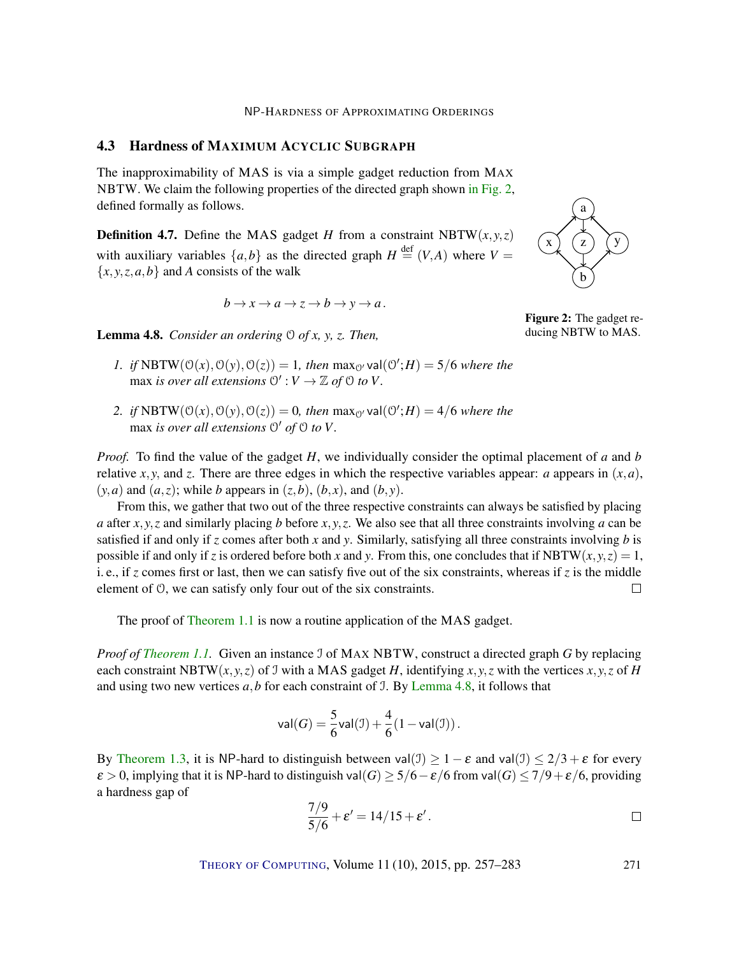## 4.3 Hardness of MAXIMUM ACYCLIC SUBGRAPH

The inapproximability of MAS is via a simple gadget reduction from MAX NBTW. We claim the following properties of the directed graph shown in Fig. 2, defined formally as follows.

**Definition 4.7.** Define the MAS gadget *H* from a constraint NBTW( $x, y, z$ ) with auxiliary variables  $\{a,b\}$  as the directed graph  $H \stackrel{\text{def}}{=} (V,A)$  where  $V =$  ${x, y, z, a, b}$  and *A* consists of the walk

$$
b \to x \to a \to z \to b \to y \to a.
$$

Lemma 4.8. *Consider an ordering* O *of x, y, z. Then,*

- *1. if* NBTW $(O(x), O(y), O(z)) = 1$ *, then* max<sub>O'</sub> val $(O';H) = 5/6$  *where the* max *is over all extensions*  $\mathcal{O}' : V \to \mathbb{Z}$  *of*  $\mathcal{O}$  *to*  $V$ *.*
- 2. *if*  $NBTW(0(x), 0(y), 0(z)) = 0$ *, then*  $max_0$ ' val $(0';H) = 4/6$  where the max *is over all extensions*  $\mathcal{O}'$  *of*  $\mathcal{O}$  *to*  $V$ *.*

*Proof.* To find the value of the gadget *H*, we individually consider the optimal placement of *a* and *b* relative *x*, *y*, and *z*. There are three edges in which the respective variables appear: *a* appears in  $(x, a)$ ,  $(y, a)$  and  $(a, z)$ ; while *b* appears in  $(z, b)$ ,  $(b, x)$ , and  $(b, y)$ .

From this, we gather that two out of the three respective constraints can always be satisfied by placing *a* after *x*, *y*,*z* and similarly placing *b* before *x*, *y*,*z*. We also see that all three constraints involving *a* can be satisfied if and only if *z* comes after both *x* and *y*. Similarly, satisfying all three constraints involving *b* is possible if and only if *z* is ordered before both *x* and *y*. From this, one concludes that if NBTW( $x, y, z$ ) = 1, i. e., if *z* comes first or last, then we can satisfy five out of the six constraints, whereas if *z* is the middle element of O, we can satisfy only four out of the six constraints.  $\Box$ 

The proof of Theorem 1.1 is now a routine application of the MAS gadget.

*Proof of Theorem 1.1.* Given an instance I of MAX NBTW, construct a directed graph *G* by replacing each constraint NBTW( $x, y, z$ ) of J with a MAS gadget *H*, identifying  $x, y, z$  with the vertices  $x, y, z$  of *H* and using two new vertices  $a$ ,  $b$  for each constraint of J. By Lemma 4.8, it follows that

$$
\mathsf{val}(G) = \frac{5}{6}\mathsf{val}(\mathcal{I}) + \frac{4}{6}(1 - \mathsf{val}(\mathcal{I})).
$$

By Theorem 1.3, it is NP-hard to distinguish between val(J)  $> 1 - \varepsilon$  and val(J)  $< 2/3 + \varepsilon$  for every  $\varepsilon > 0$ , implying that it is NP-hard to distinguish val $(G) \ge 5/6 - \varepsilon/6$  from val $(G) \le 7/9 + \varepsilon/6$ , providing a hardness gap of

$$
\frac{7/9}{5/6} + \varepsilon' = 14/15 + \varepsilon'.
$$



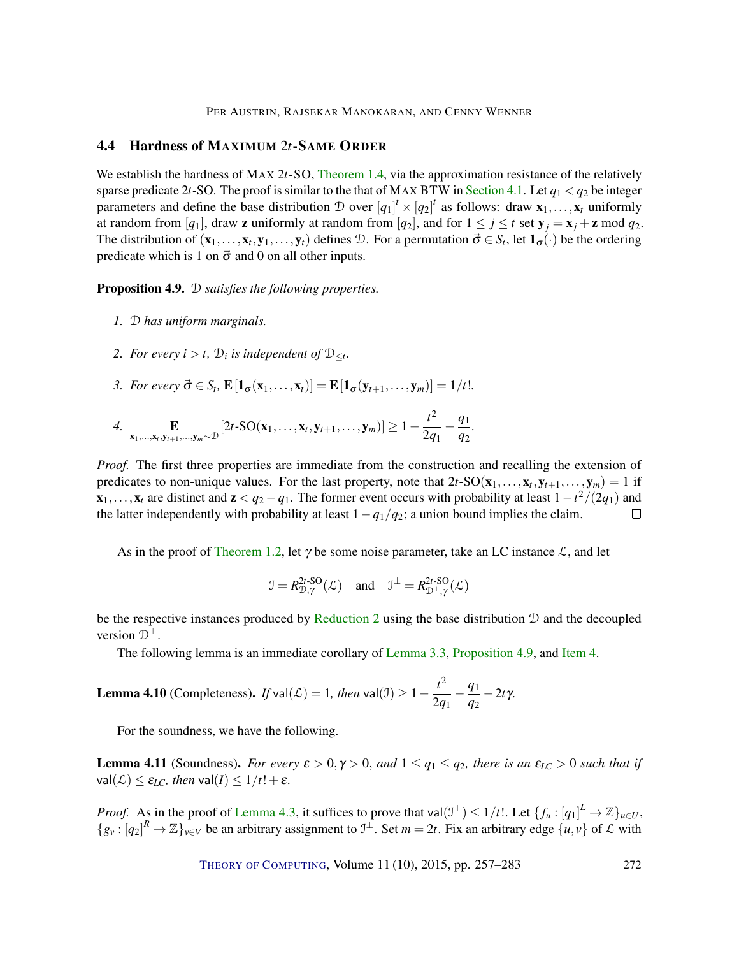PER AUSTRIN, RAJSEKAR MANOKARAN, AND CENNY WENNER

## 4.4 Hardness of MAXIMUM 2*t*-SAME ORDER

We establish the hardness of MAX 2*t*-SO, Theorem 1.4, via the approximation resistance of the relatively sparse predicate 2*t*-SO. The proof is similar to the that of MAX BTW in Section 4.1. Let  $q_1 < q_2$  be integer parameters and define the base distribution  $D$  over  $[q_1]^t \times [q_2]^t$  as follows: draw  $\mathbf{x}_1, \ldots, \mathbf{x}_t$  uniformly at random from [ $q_1$ ], draw **z** uniformly at random from [ $q_2$ ], and for  $1 \le j \le t$  set  $\mathbf{y}_j = \mathbf{x}_j + \mathbf{z} \mod q_2$ . The distribution of  $(\mathbf{x}_1, \dots, \mathbf{x}_t, \mathbf{y}_1, \dots, \mathbf{y}_t)$  defines D. For a permutation  $\vec{\sigma} \in S_t$ , let  $\mathbf{1}_{\sigma}(\cdot)$  be the ordering predicate which is 1 on  $\vec{\sigma}$  and 0 on all other inputs.

Proposition 4.9. D *satisfies the following properties.*

- *1.* D *has uniform marginals.*
- 2. For every  $i > t$ ,  $\mathcal{D}_i$  is independent of  $\mathcal{D}_{\leq t}$ .
- 3. For every  $\vec{\sigma} \in S_t$ ,  $\mathbf{E}[\mathbf{1}_{\sigma}(\mathbf{x}_1,\ldots,\mathbf{x}_t)] = \mathbf{E}[\mathbf{1}_{\sigma}(\mathbf{y}_{t+1},\ldots,\mathbf{y}_m)] = 1/t!$ .

4. 
$$
\underset{\mathbf{x}_1,\ldots,\mathbf{x}_t,\mathbf{y}_{t+1},\ldots,\mathbf{y}_m\sim\mathcal{D}}{\mathbf{E}}\left[2t\cdot\mathrm{SO}(\mathbf{x}_1,\ldots,\mathbf{x}_t,\mathbf{y}_{t+1},\ldots,\mathbf{y}_m)\right]\geq 1-\frac{t^2}{2q_1}-\frac{q_1}{q_2}.
$$

*Proof.* The first three properties are immediate from the construction and recalling the extension of predicates to non-unique values. For the last property, note that  $2t$ -SO( $x_1, \ldots, x_t, y_{t+1}, \ldots, y_m$ ) = 1 if  $\mathbf{x}_1,\ldots,\mathbf{x}_t$  are distinct and  $\mathbf{z} < q_2 - q_1$ . The former event occurs with probability at least  $1-t^2/(2q_1)$  and the latter independently with probability at least  $1-q_1/q_2$ ; a union bound implies the claim.  $\Box$ 

As in the proof of Theorem 1.2, let  $\gamma$  be some noise parameter, take an LC instance  $\mathcal{L}$ , and let

$$
\mathcal{I} = R_{\mathcal{D}, \gamma}^{2t\text{-SO}}(\mathcal{L}) \text{ and } \mathcal{I}^{\perp} = R_{\mathcal{D}^{\perp}, \gamma}^{2t\text{-SO}}(\mathcal{L})
$$

be the respective instances produced by Reduction 2 using the base distribution  $D$  and the decoupled version  $\mathcal{D}^{\perp}$ .

The following lemma is an immediate corollary of Lemma 3.3, Proposition 4.9, and Item 4.

**Lemma 4.10** (Completeness). If 
$$
\text{val}(\mathcal{L}) = 1
$$
, then  $\text{val}(\mathcal{I}) \ge 1 - \frac{t^2}{2q_1} - \frac{q_1}{q_2} - 2t\gamma$ .

For the soundness, we have the following.

**Lemma 4.11** (Soundness). *For every*  $\varepsilon > 0$ ,  $\gamma > 0$ , and  $1 \le q_1 \le q_2$ , there is an  $\varepsilon_{LC} > 0$  such that if  $val(\mathcal{L}) \leq \varepsilon_{LC}$ *, then*  $val(I) \leq 1/t! + \varepsilon$ *.* 

*Proof.* As in the proof of Lemma 4.3, it suffices to prove that val $(\mathcal{I}^{\perp}) \leq 1/t!$ . Let  $\{f_u : [q_1]^L \to \mathbb{Z}\}_{u \in U}$ ,  ${g_y : [q_2]^R \to \mathbb{Z}}_{y \in V}$  be an arbitrary assignment to  $\mathbb{I}^{\perp}$ . Set  $m = 2t$ . Fix an arbitrary edge  ${u, v}$  of  $\mathcal{L}$  with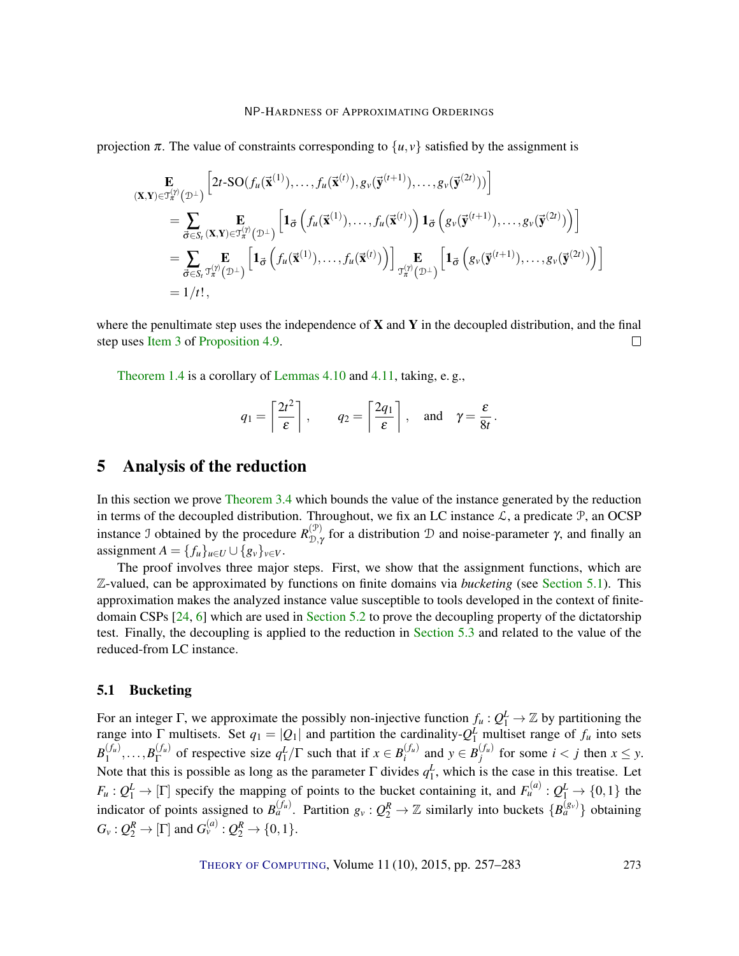projection  $\pi$ . The value of constraints corresponding to  $\{u, v\}$  satisfied by the assignment is

$$
\mathbf{E}_{(\mathbf{X},\mathbf{Y})\in\mathcal{T}_{\pi}^{(\gamma)}(\mathcal{D}^{\perp})}\left[2t\text{-SO}(f_{u}(\mathbf{\vec{x}}^{(1)}),\ldots,f_{u}(\mathbf{\vec{x}}^{(t)}),g_{v}(\mathbf{\vec{y}}^{(t+1)}),\ldots,g_{v}(\mathbf{\vec{y}}^{(2t)}))\right]
$$
\n
$$
=\sum_{\vec{\sigma}\in S_{t}}\mathbf{E}_{(\mathbf{X},\mathbf{Y})\in\mathcal{T}_{\pi}^{(\gamma)}(\mathcal{D}^{\perp})}\left[\mathbf{1}_{\vec{\sigma}}\left(f_{u}(\mathbf{\vec{x}}^{(1)}),\ldots,f_{u}(\mathbf{\vec{x}}^{(t)})\right)\mathbf{1}_{\vec{\sigma}}\left(g_{v}(\mathbf{\vec{y}}^{(t+1)}),\ldots,g_{v}(\mathbf{\vec{y}}^{(2t)})\right)\right]
$$
\n
$$
=\sum_{\vec{\sigma}\in S_{t}}\mathbf{E}_{\vec{\sigma}\in S_{t}}\mathbf{E}_{\vec{\sigma}\in\mathcal{T}_{\pi}^{(\gamma)}(\mathcal{D}^{\perp})}\left[\mathbf{1}_{\vec{\sigma}}\left(f_{u}(\mathbf{\vec{x}}^{(1)}),\ldots,f_{u}(\mathbf{\vec{x}}^{(t)})\right)\right]_{\mathcal{T}_{\pi}^{(\gamma)}(\mathcal{D}^{\perp})}\left[\mathbf{1}_{\vec{\sigma}}\left(g_{v}(\mathbf{\vec{y}}^{(t+1)}),\ldots,g_{v}(\mathbf{\vec{y}}^{(2t)})\right)\right]
$$
\n
$$
=1/t!,
$$

where the penultimate step uses the independence of  $X$  and  $Y$  in the decoupled distribution, and the final step uses Item 3 of Proposition 4.9.  $\Box$ 

Theorem 1.4 is a corollary of Lemmas 4.10 and 4.11, taking, e. g.,

$$
q_1 = \left\lceil \frac{2t^2}{\varepsilon} \right\rceil
$$
,  $q_2 = \left\lceil \frac{2q_1}{\varepsilon} \right\rceil$ , and  $\gamma = \frac{\varepsilon}{8t}$ .

# 5 Analysis of the reduction

In this section we prove Theorem 3.4 which bounds the value of the instance generated by the reduction in terms of the decoupled distribution. Throughout, we fix an LC instance  $\mathcal{L}$ , a predicate  $\mathcal{P}$ , an OCSP instance J obtained by the procedure  $R_{\text{D}_1}^{(\mathcal{P})}$  $\mathcal{D}_{\mathcal{D},\gamma}^{(\mathcal{P})}$  for a distribution  $\mathcal D$  and noise-parameter  $\gamma$ , and finally an assignment  $A = \{f_u\}_{u \in U} \cup \{g_v\}_{v \in V}$ .

The proof involves three major steps. First, we show that the assignment functions, which are Z-valued, can be approximated by functions on finite domains via *bucketing* (see Section 5.1). This approximation makes the analyzed instance value susceptible to tools developed in the context of finitedomain CSPs [24, 6] which are used in Section 5.2 to prove the decoupling property of the dictatorship test. Finally, the decoupling is applied to the reduction in Section 5.3 and related to the value of the reduced-from LC instance.

## 5.1 Bucketing

For an integer  $\Gamma$ , we approximate the possibly non-injective function  $f_u: Q_1^L \to \mathbb{Z}$  by partitioning the range into  $\Gamma$  multisets. Set  $q_1 = |Q_1|$  and partition the cardinality- $Q_1^L$  multiset range of  $f_u$  into sets  $B_1^{(f_u)}$  $B_{1}^{(f_u)}, \ldots, B_{\Gamma}^{(f_u)}$  of respective size  $q_1^L/\Gamma$  such that if  $x \in B_i^{(f_u)}$  $a_i^{(f_u)}$  and  $y \in B_j^{(f_u)}$  $j^{(J_u)}$  for some  $i < j$  then  $x \leq y$ . Note that this is possible as long as the parameter  $\Gamma$  divides  $q_1^L$ , which is the case in this treatise. Let  $F_u: Q_1^L \to [\Gamma]$  specify the mapping of points to the bucket containing it, and  $F_u^{(a)}: Q_1^L \to \{0,1\}$  the indicator of points assigned to  $B_a^{(f_u)}$ . Partition  $g_v : Q_2^R \to \mathbb{Z}$  similarly into buckets  $\{B_a^{(g_v)}\}$  obtaining  $G_v: Q_2^R \to [\Gamma]$  and  $G_v^{(a)}: Q_2^R \to \{0,1\}.$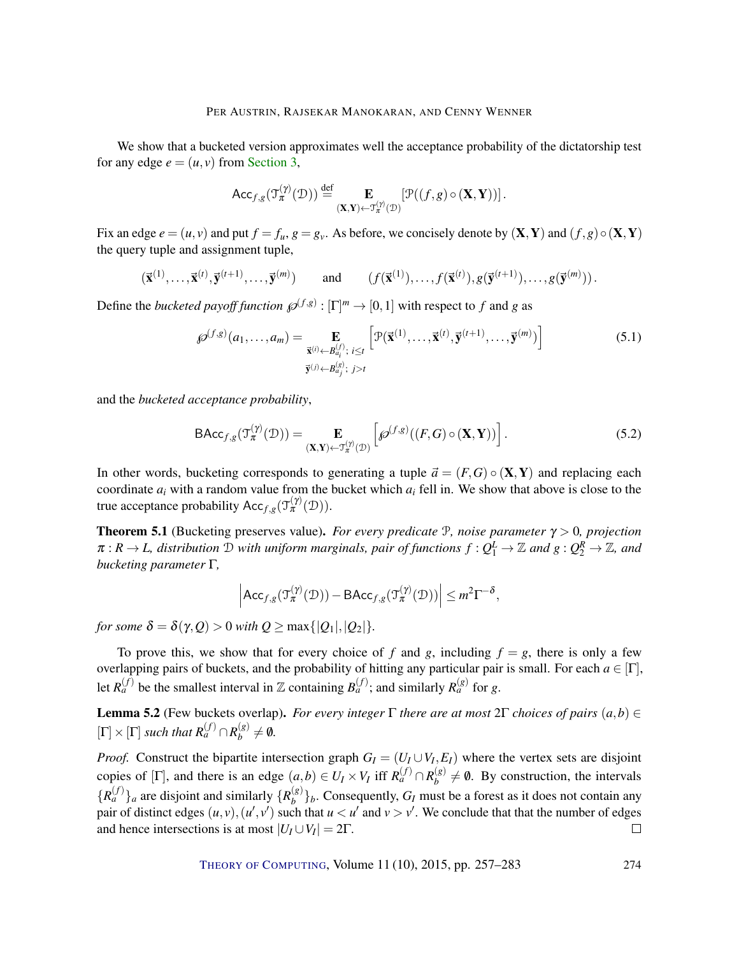We show that a bucketed version approximates well the acceptance probability of the dictatorship test for any edge  $e = (u, v)$  from Section 3,

$$
\mathsf{Acc}_{f,g}(\mathfrak{I}_{\pi}^{(\gamma)}(\mathcal{D})) \stackrel{\mathrm{def}}{=} \mathop{\mathbf{E}}_{(\mathbf{X},\mathbf{Y}) \leftarrow \mathfrak{I}_{\pi}^{(\gamma)}(\mathcal{D})} [\mathcal{P}((f,g) \circ (\mathbf{X}, \mathbf{Y}))].
$$

Fix an edge  $e = (u, v)$  and put  $f = f_u$ ,  $g = g_v$ . As before, we concisely denote by  $(X, Y)$  and  $(f, g) \circ (X, Y)$ the query tuple and assignment tuple,

$$
(\vec{\mathbf{x}}^{(1)},\ldots,\vec{\mathbf{x}}^{(t)},\vec{\mathbf{y}}^{(t+1)},\ldots,\vec{\mathbf{y}}^{(m)}) \quad \text{and} \quad (f(\vec{\mathbf{x}}^{(1)}),\ldots,f(\vec{\mathbf{x}}^{(t)}),g(\vec{\mathbf{y}}^{(t+1)}),\ldots,g(\vec{\mathbf{y}}^{(m)}))\,.
$$

Define the *bucketed payoff function*  $\mathscr{P}^{(f,g)} : [\Gamma]^m \to [0,1]$  with respect to *f* and *g* as

$$
\mathcal{D}^{(f,g)}(a_1,\ldots,a_m) = \mathop{\mathbf{E}}_{\substack{\vec{\mathbf{x}}^{(i)} \leftarrow B_{a_i}^{(f)}; \\ \vec{\mathbf{y}}^{(j)} \leftarrow B_{a_j}^{(g)}}; \; i \leq t}} \left[ \mathcal{P}(\vec{\mathbf{x}}^{(1)},\ldots,\vec{\mathbf{x}}^{(t)},\vec{\mathbf{y}}^{(t+1)},\ldots,\vec{\mathbf{y}}^{(m)}) \right] \tag{5.1}
$$

and the *bucketed acceptance probability*,

$$
\mathsf{BAcc}_{f,g}(\mathcal{T}_{\pi}^{(\gamma)}(\mathcal{D})) = \mathop{\mathbf{E}}_{(\mathbf{X}, \mathbf{Y}) \leftarrow \mathcal{T}_{\pi}^{(\gamma)}(\mathcal{D})} \left[ \mathscr{D}^{(f,g)}((F, G) \circ (\mathbf{X}, \mathbf{Y})) \right]. \tag{5.2}
$$

In other words, bucketing corresponds to generating a tuple  $\vec{a} = (F, G) \circ (\mathbf{X}, \mathbf{Y})$  and replacing each coordinate  $a_i$  with a random value from the bucket which  $a_i$  fell in. We show that above is close to the true acceptance probability  $Acc_{f,g}(\mathcal{T}_{\pi}^{(\gamma)}(\mathcal{D}))$ .

Theorem 5.1 (Bucketing preserves value). *For every predicate* P*, noise parameter* <sup>γ</sup> > 0*, projection*  $\pi: R \to L$ , distribution  $D$  with uniform marginals, pair of functions  $f: Q_1^L \to \mathbb{Z}$  and  $g: Q_2^R \to \mathbb{Z}$ , and *bucketing parameter* Γ*,*

$$
\left|\mathsf{Acc}_{f,g}(\mathfrak{I}_{\pi}^{(\gamma)}(\mathcal{D})) - \mathsf{BAcc}_{f,g}(\mathfrak{I}_{\pi}^{(\gamma)}(\mathcal{D}))\right| \leq m^2 \Gamma^{-\delta},
$$

*for some*  $\delta = \delta(\gamma, Q) > 0$  *with*  $Q \ge \max\{|Q_1|, |Q_2|\}.$ 

To prove this, we show that for every choice of f and g, including  $f = g$ , there is only a few overlapping pairs of buckets, and the probability of hitting any particular pair is small. For each  $a \in [\Gamma]$ , let  $R_a^{(f)}$  be the smallest interval in Z containing  $B_a^{(f)}$ ; and similarly  $R_a^{(g)}$  for *g*.

**Lemma 5.2** (Few buckets overlap). *For every integer* Γ *there are at most* 2Γ *choices of pairs*  $(a, b) \in$  $\left[\Gamma\right] \times \left[\Gamma\right]$  *such that*  $R_a^{(f)} \cap R_b^{(g)}$  $\binom{(g)}{b} \neq \emptyset$ .

*Proof.* Construct the bipartite intersection graph  $G_I = (U_I \cup V_I, E_I)$  where the vertex sets are disjoint copies of [Γ], and there is an edge  $(a, b) \in U_I \times V_I$  iff  $R_a^{(f)} \cap R_b^{(g)}$  $b^{(g)}_b \neq \emptyset$ . By construction, the intervals  ${R_a^{(f)}}_a$  are disjoint and similarly  ${R_b^{(g)}}$  $\binom{g}{b}$ . Consequently,  $G_I$  must be a forest as it does not contain any pair of distinct edges  $(u, v), (u', v')$  such that  $u < u'$  and  $v > v'$ . We conclude that that the number of edges and hence intersections is at most  $|U_I \cup V_I| = 2\Gamma$ .  $\Box$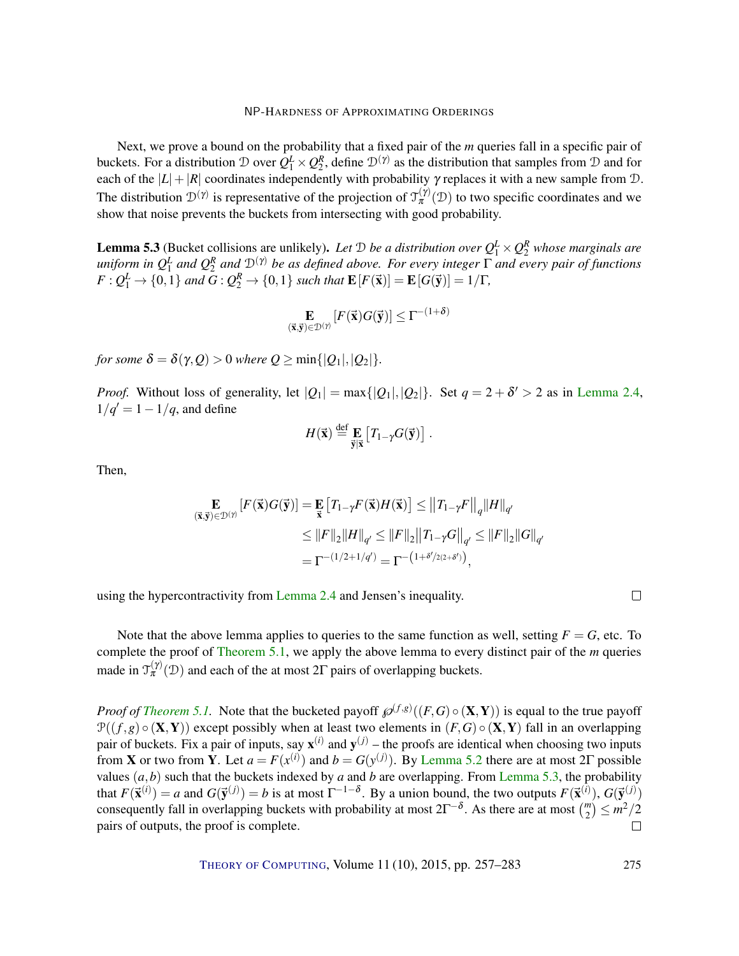Next, we prove a bound on the probability that a fixed pair of the *m* queries fall in a specific pair of buckets. For a distribution  $D$  over  $Q_1^L \times Q_2^R$ , define  $D^{(\gamma)}$  as the distribution that samples from  $D$  and for each of the  $|L|+|R|$  coordinates independently with probability  $\gamma$  replaces it with a new sample from  $\mathcal{D}$ . The distribution  $\mathcal{D}^{(\gamma)}$  is representative of the projection of  $\mathcal{T}_{\pi}^{(\gamma)}(\mathcal{D})$  to two specific coordinates and we show that noise prevents the buckets from intersecting with good probability.

**Lemma 5.3** (Bucket collisions are unlikely). Let D be a distribution over  $Q_1^L \times Q_2^R$  whose marginals are  $u$ niform in  $Q_1^L$  and  $Q_2^R$  and  $\mathcal{D}^{(\gamma)}$  be as defined above. For every integer  $\Gamma$  and every pair of functions  $F: Q_1^L \to \{0,1\}$  and  $G: Q_2^R \to \{0,1\}$  such that  $\mathbf{E}[F(\vec{\mathbf{x}})] = \mathbf{E}[G(\vec{\mathbf{y}})] = 1/\Gamma$ ,

$$
\mathop{\mathbf{E}}_{(\vec{\mathbf{x}},\vec{\mathbf{y}})\in\mathcal{D}^{(\gamma)}}[F(\vec{\mathbf{x}})G(\vec{\mathbf{y}})] \leq \Gamma^{-(1+\delta)}
$$

*for some*  $\delta = \delta(\gamma, Q) > 0$  *where*  $Q \ge \min\{|Q_1|, |Q_2|\}.$ 

*Proof.* Without loss of generality, let  $|Q_1| = \max\{|Q_1|, |Q_2|\}$ . Set  $q = 2 + \delta' > 2$  as in Lemma 2.4,  $1/q' = 1 - 1/q$ , and define

$$
H(\vec{\mathbf{x}}) \stackrel{\text{def}}{=} \mathop{\mathbf{E}}_{\vec{\mathbf{y}}|\vec{\mathbf{x}}} \left[ T_{1-\gamma} G(\vec{\mathbf{y}}) \right]
$$

.

Then,

$$
\mathbf{E}_{(\vec{\mathbf{x}}, \vec{\mathbf{y}}) \in \mathcal{D}^{(\gamma)}}[F(\vec{\mathbf{x}})G(\vec{\mathbf{y}})] = \mathbf{E}_{\vec{\mathbf{x}}}[T_{1-\gamma}F(\vec{\mathbf{x}})H(\vec{\mathbf{x}})] \le ||T_{1-\gamma}F||_q ||H||_{q'}
$$
  
\n
$$
\le ||F||_2 ||H||_{q'} \le ||F||_2 ||T_{1-\gamma}G||_{q'} \le ||F||_2 ||G||_{q'}
$$
  
\n
$$
= \Gamma^{-(1/2+1/q')} = \Gamma^{-(1+\delta'/2(2+\delta'))},
$$

using the hypercontractivity from Lemma 2.4 and Jensen's inequality.

 $\Box$ 

Note that the above lemma applies to queries to the same function as well, setting  $F = G$ , etc. To complete the proof of Theorem 5.1, we apply the above lemma to every distinct pair of the *m* queries made in  $\mathcal{T}_{\pi}^{(\gamma)}(\mathcal{D})$  and each of the at most 2 $\Gamma$  pairs of overlapping buckets.

*Proof of Theorem 5.1.* Note that the bucketed payoff  $\mathcal{P}^{(f,g)}((F,G) \circ (\mathbf{X}, \mathbf{Y}))$  is equal to the true payoff  $P((f,g) \circ (\mathbf{X}, \mathbf{Y}))$  except possibly when at least two elements in  $(F, G) \circ (\mathbf{X}, \mathbf{Y})$  fall in an overlapping pair of buckets. Fix a pair of inputs, say  $\mathbf{x}^{(i)}$  and  $\mathbf{y}^{(j)}$  – the proofs are identical when choosing two inputs from **X** or two from **Y**. Let  $a = F(x^{(i)})$  and  $b = G(y^{(j)})$ . By Lemma 5.2 there are at most 2Γ possible values  $(a,b)$  such that the buckets indexed by *a* and *b* are overlapping. From Lemma 5.3, the probability that  $F(\vec{x}^{(i)}) = a$  and  $G(\vec{y}^{(j)}) = b$  is at most  $\Gamma^{-1-\delta}$ . By a union bound, the two outputs  $F(\vec{x}^{(i)})$ ,  $G(\vec{y}^{(j)})$ consequently fall in overlapping buckets with probability at most  $2\Gamma^{-\delta}$ . As there are at most  $\binom{m}{2} \leq m^2/2$ pairs of outputs, the proof is complete.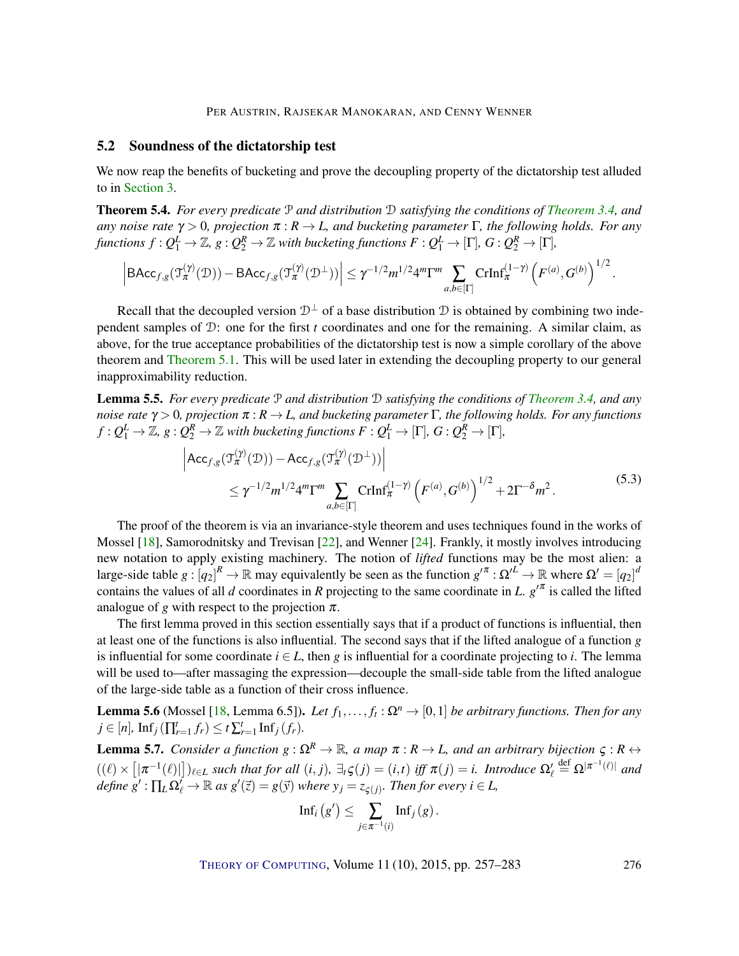## 5.2 Soundness of the dictatorship test

We now reap the benefits of bucketing and prove the decoupling property of the dictatorship test alluded to in Section 3.

Theorem 5.4. *For every predicate* P *and distribution* D *satisfying the conditions of Theorem 3.4, and any noise rate*  $\gamma > 0$ *, projection*  $\pi : R \to L$ *, and bucketing parameter*  $\Gamma$ *, the following holds. For any*  $f$ unctions  $f:Q_1^L \to \mathbb{Z}$ ,  $g:Q_2^R \to \mathbb{Z}$  with bucketing functions  $F:Q_1^L \to [\Gamma],$   $G:Q_2^R \to [\Gamma],$ 

$$
\left|\text{BAcc}_{f,g}(\mathfrak{I}_{\pi}^{(\gamma)}(\mathcal{D})) - \text{BAcc}_{f,g}(\mathfrak{I}_{\pi}^{(\gamma)}(\mathcal{D}^{\perp}))\right| \leq \gamma^{-1/2} m^{1/2} 4^m \Gamma^m \sum_{a,b \in [\Gamma]} \text{CrInf}_{\pi}^{(1-\gamma)} \left(F^{(a)}, G^{(b)}\right)^{1/2}
$$

Recall that the decoupled version  $\mathcal{D}^{\perp}$  of a base distribution D is obtained by combining two independent samples of D: one for the first *t* coordinates and one for the remaining. A similar claim, as above, for the true acceptance probabilities of the dictatorship test is now a simple corollary of the above theorem and Theorem 5.1. This will be used later in extending the decoupling property to our general inapproximability reduction.

Lemma 5.5. *For every predicate* P *and distribution* D *satisfying the conditions of Theorem 3.4, and any noise rate* <sup>γ</sup> > 0*, projection* <sup>π</sup> : *R* → *L, and bucketing parameter* Γ*, the following holds. For any functions*  $f:Q_1^L \to \mathbb{Z}$ ,  $g:Q_2^R \to \mathbb{Z}$  with bucketing functions  $F:Q_1^L \to [\Gamma],\,G:Q_2^R \to [\Gamma],$ 

$$
\left| \text{Acc}_{f,g}(\mathfrak{I}_{\pi}^{(\gamma)}(\mathcal{D})) - \text{Acc}_{f,g}(\mathfrak{I}_{\pi}^{(\gamma)}(\mathcal{D}^{\perp})) \right|
$$
  
 
$$
\leq \gamma^{-1/2} m^{1/2} 4^m \Gamma^m \sum_{a,b \in [\Gamma]} \text{CrInf}_{\pi}^{(1-\gamma)} \left( F^{(a)}, G^{(b)} \right)^{1/2} + 2 \Gamma^{-\delta} m^2.
$$
 (5.3)

The proof of the theorem is via an invariance-style theorem and uses techniques found in the works of Mossel [18], Samorodnitsky and Trevisan [22], and Wenner [24]. Frankly, it mostly involves introducing new notation to apply existing machinery. The notion of *lifted* functions may be the most alien: a large-side table  $g: [q_2]^R \to \mathbb{R}$  may equivalently be seen as the function  $g'^{\pi}: \Omega'^L \to \mathbb{R}$  where  $\Omega' = [q_2]^d$ contains the values of all *d* coordinates in *R* projecting to the same coordinate in *L*.  $g^{\prime \pi}$  is called the lifted analogue of *g* with respect to the projection  $\pi$ .

The first lemma proved in this section essentially says that if a product of functions is influential, then at least one of the functions is also influential. The second says that if the lifted analogue of a function *g* is influential for some coordinate  $i \in L$ , then *g* is influential for a coordinate projecting to *i*. The lemma will be used to—after massaging the expression—decouple the small-side table from the lifted analogue of the large-side table as a function of their cross influence.

**Lemma 5.6** (Mossel [18, Lemma 6.5]). *Let*  $f_1, \ldots, f_t : \Omega^n \to [0,1]$  *be arbitrary functions. Then for any*  $j \in [n]$ ,  $\text{Inf}_j(\prod_{r=1}^t f_r) \leq t \sum_{r=1}^t \text{Inf}_j(f_r)$ .

**Lemma 5.7.** *Consider a function*  $g: \Omega^R \to \mathbb{R}$ *, a map*  $\pi: R \to L$ *, and an arbitrary bijection*  $\varsigma: R \leftrightarrow$  $((\ell) \times [|\pi^{-1}(\ell)|])_{\ell \in L}$  such that for all  $(i, j)$ ,  $\exists_t \zeta(j) = (i, t)$  iff  $\pi(j) = i$ . Introduce  $\Omega'_{\ell} \stackrel{\text{def}}{=} \Omega^{|\pi^{-1}(\ell)|}$  and  $define g': \prod_L \Omega'_{\ell} \to \mathbb{R}$  as  $g'(\vec{z}) = g(\vec{y})$  where  $y_j = z_{\varsigma(j)}$ . Then for every  $i \in L$ ,

$$
\mathrm{Inf}_i\left({g'}\right) \leq \sum_{j \in \pi^{-1}(i)} \mathrm{Inf}_j\left(g\right).
$$

THEORY OF COMPUTING, Volume 11 (10), 2015, pp. 257–283 276

.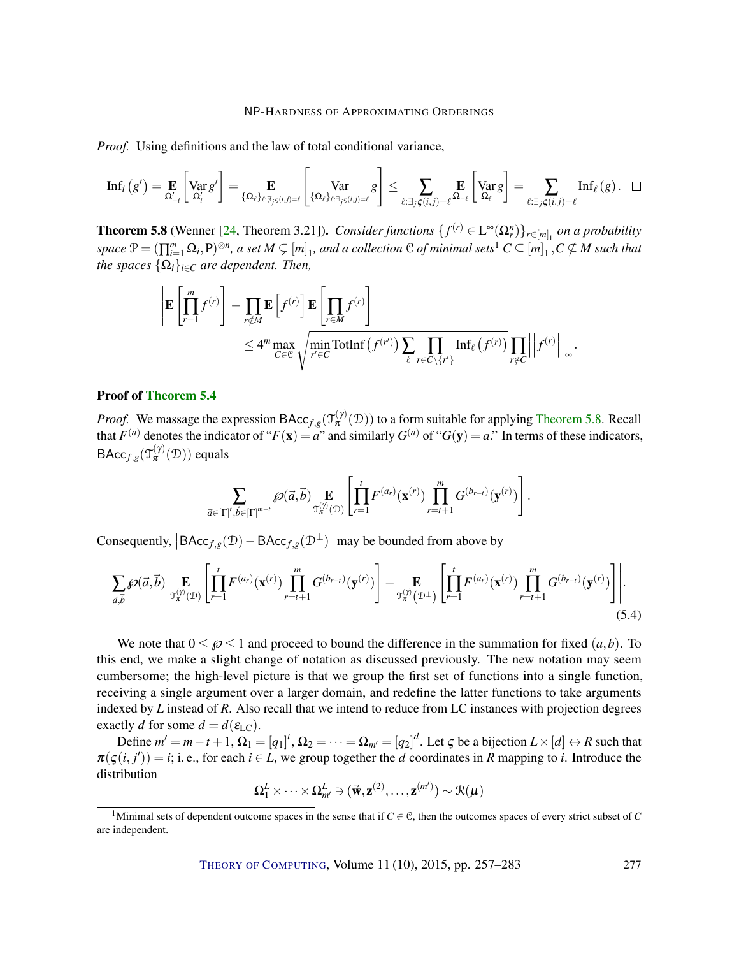*Proof.* Using definitions and the law of total conditional variance,

$$
\mathrm{Inf}_i\left(g'\right) = \mathop{\mathbf{E}}_{\Omega'_{-i}}\left[\mathrm{Var}_{g'}g'\right] = \mathop{\mathbf{E}}_{\{\Omega_\ell\}_{\ell:\exists_j\in (i,j)=\ell}}\left[\mathrm{Var}_{\{\Omega_\ell\}_{\ell:\exists_j\in (i,j)=\ell}}g\right] \leq \sum_{\ell:\exists_j\in (i,j)=\ell}\mathop{\mathbf{E}}_{\Omega_{-\ell}}\left[\mathrm{Var}_{g'}g\right] = \sum_{\ell:\exists_j\in (i,j)=\ell}\mathrm{Inf}_\ell\left(g\right). \quad \Box
$$

**Theorem 5.8** (Wenner [24, Theorem 3.21]). *Consider functions*  $\{f^{(r)} \in L^{\infty}(\Omega_r^n)\}_{{r \in [m]_1}}$  *on a probability*  $space \mathcal{P} = (\prod_{i=1}^{m} \Omega_i, P)^{\otimes n},$  a set  $M \subsetneq [m]_1$ , and a collection  $\mathcal{C}$  of minimal sets<sup>1</sup>  $C \subseteq [m]_1, C \nsubseteq M$  such that *the spaces*  $\{\Omega_i\}_{i \in \mathbb{C}}$  *are dependent. Then,* 

$$
\left| \mathbf{E} \left[ \prod_{r=1}^{m} f^{(r)} \right] - \prod_{r \notin M} \mathbf{E} \left[ f^{(r)} \right] \mathbf{E} \left[ \prod_{r \in M} f^{(r)} \right] \right|
$$
  
 
$$
\leq 4^m \max_{C \in \mathcal{C}} \sqrt{\min_{r' \in C} \text{TotInf} \left( f^{(r')} \right) \sum_{\ell} \prod_{r \in C \setminus \{r'\}} \text{Inf}_{\ell} \left( f^{(r)} \right)} \prod_{r \notin C} \left| \left| f^{(r)} \right| \right|_{\infty}.
$$

#### Proof of Theorem 5.4

*Proof.* We massage the expression BAcc<sub>*f*,*g*</sub>( $\mathcal{T}_{\pi}^{(\gamma)}(\mathcal{D})$ ) to a form suitable for applying Theorem 5.8. Recall that  $F^{(a)}$  denotes the indicator of " $F(\mathbf{x}) = a$ " and similarly  $G^{(a)}$  of " $G(\mathbf{y}) = a$ ." In terms of these indicators, BAcc<sub>*f*,*g*</sub>( $\mathcal{T}_{\pi}^{(\gamma)}(\mathcal{D})$ ) equals

$$
\sum_{\vec{a}\in[\Gamma]^{t},\vec{b}\in[\Gamma]^{m-t}}\text{SO}(\vec{a},\vec{b})\underset{\mathfrak{T}_{\pi}^{(\gamma)}(\mathfrak{D})}{\mathbf{E}}\left[\prod_{r=1}^{t}F^{(a_r)}(\mathbf{x}^{(r)})\prod_{r=t+1}^{m}G^{(b_{r-t})}(\mathbf{y}^{(r)})\right].
$$

Consequently,  $|BAcc_{f,g}(\mathcal{D}) - BAcc_{f,g}(\mathcal{D}^{\perp})|$  may be bounded from above by

$$
\sum_{\vec{a},\vec{b}} \mathcal{O}(\vec{a},\vec{b}) \Big| \mathop{\mathbf{E}}_{\mathcal{T}_{\pi}^{(\gamma)}(\mathcal{D})} \Bigg[ \prod_{r=1}^{t} F^{(a_r)}(\mathbf{x}^{(r)}) \prod_{r=t+1}^{m} G^{(b_{r-t})}(\mathbf{y}^{(r)}) \Bigg] - \mathop{\mathbf{E}}_{\mathcal{T}_{\pi}^{(\gamma)}(\mathcal{D}^{\perp})} \Bigg[ \prod_{r=1}^{t} F^{(a_r)}(\mathbf{x}^{(r)}) \prod_{r=t+1}^{m} G^{(b_{r-t})}(\mathbf{y}^{(r)}) \Bigg] \Bigg]. \tag{5.4}
$$

We note that  $0 \le \beta \le 1$  and proceed to bound the difference in the summation for fixed  $(a, b)$ . To this end, we make a slight change of notation as discussed previously. The new notation may seem cumbersome; the high-level picture is that we group the first set of functions into a single function, receiving a single argument over a larger domain, and redefine the latter functions to take arguments indexed by *L* instead of *R*. Also recall that we intend to reduce from LC instances with projection degrees exactly *d* for some  $d = d(\varepsilon_{\text{LC}})$ .

Define  $m' = m - t + 1$ ,  $\Omega_1 = [q_1]^t$ ,  $\Omega_2 = \cdots = \Omega_{m'} = [q_2]^d$ . Let  $\zeta$  be a bijection  $L \times [d] \leftrightarrow R$  such that  $\pi(\varsigma(i, j')) = i$ ; i. e., for each  $i \in L$ , we group together the *d* coordinates in *R* mapping to *i*. Introduce the distribution

$$
\Omega_1^L \times \cdots \times \Omega_{m'}^L \ni (\vec{\mathbf{w}}, \mathbf{z}^{(2)}, \ldots, \mathbf{z}^{(m')}) \sim \mathcal{R}(\mu)
$$

<sup>&</sup>lt;sup>1</sup>Minimal sets of dependent outcome spaces in the sense that if  $C \in \mathcal{C}$ , then the outcomes spaces of every strict subset of *C* are independent.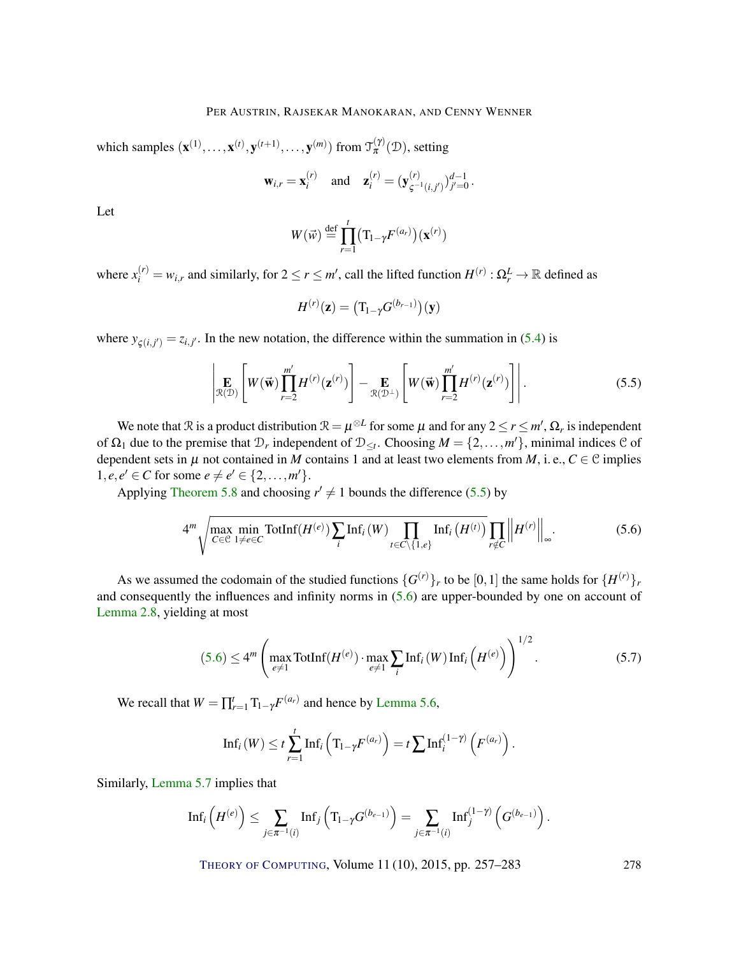which samples  $(\mathbf{x}^{(1)},..., \mathbf{x}^{(t)}, \mathbf{y}^{(t+1)},..., \mathbf{y}^{(m)})$  from  $\mathcal{T}_{\pi}^{(\gamma)}(\mathcal{D})$ , setting

$$
\mathbf{w}_{i,r} = \mathbf{x}_i^{(r)}
$$
 and  $\mathbf{z}_i^{(r)} = (\mathbf{y}_{\zeta^{-1}(i,j')}^{(r)})_{j'=0}^{d-1}$ .

Let

$$
W(\vec{w}) \stackrel{\text{def}}{=} \prod_{r=1}^{t} \bigl( \mathrm{T}_{1-\gamma} F^{(a_r)} \bigr) (\mathbf{x}^{(r)})
$$

where  $x_i^{(r)} = w_{i,r}$  and similarly, for  $2 \le r \le m'$ , call the lifted function  $H^{(r)} : \Omega_r^L \to \mathbb{R}$  defined as

$$
H^{(r)}(\mathbf{z}) = \big(\mathrm{T}_{1-\gamma}G^{(b_{r-1})}\big)(\mathbf{y})
$$

where  $y_{\zeta(i,j')} = z_{i,j'}$ . In the new notation, the difference within the summation in (5.4) is

$$
\left| \mathop{\mathbf{E}}_{\mathcal{R}(\mathcal{D})} \left[ W(\vec{\mathbf{w}}) \prod_{r=2}^{m'} H^{(r)}(\mathbf{z}^{(r)}) \right] - \mathop{\mathbf{E}}_{\mathcal{R}(\mathcal{D}^{\perp})} \left[ W(\vec{\mathbf{w}}) \prod_{r=2}^{m'} H^{(r)}(\mathbf{z}^{(r)}) \right] \right|.
$$
 (5.5)

We note that  $\Re$  is a product distribution  $\Re = \mu^{\otimes L}$  for some  $\mu$  and for any  $2 \le r \le m'$ ,  $\Omega_r$  is independent of  $\Omega_1$  due to the premise that  $\mathcal{D}_r$  independent of  $\mathcal{D}_{\leq t}$ . Choosing  $M = \{2, \ldots, m'\}$ , minimal indices  $\mathcal{C}$  of dependent sets in  $\mu$  not contained in *M* contains 1 and at least two elements from *M*, i. e., *C*  $\in$  C implies  $1, e, e' \in C$  for some  $e \neq e' \in \{2, ..., m'\}.$ 

Applying Theorem 5.8 and choosing  $r' \neq 1$  bounds the difference (5.5) by

$$
4^m \sqrt{\max_{C \in \mathcal{C}} \min_{1 \neq e \in C} \text{TotInf}(H^{(e)}) \sum_{i} \text{Inf}_i(W) \prod_{t \in C \setminus \{1, e\}} \text{Inf}_i(H^{(t)})} \prod_{r \notin C} \left\| H^{(r)} \right\|_{\infty}.
$$
 (5.6)

As we assumed the codomain of the studied functions  $\{G^{(r)}\}_r$  to be  $[0,1]$  the same holds for  $\{H^{(r)}\}_r$ and consequently the influences and infinity norms in  $(5.6)$  are upper-bounded by one on account of Lemma 2.8, yielding at most

$$
(5.6) \le 4^m \left( \max_{e \ne 1} \text{TotInf}(H^{(e)}) \cdot \max_{e \ne 1} \sum_i \text{Inf}_i(W) \, \text{Inf}_i\left(H^{(e)}\right) \right)^{1/2}.
$$

We recall that  $W = \prod_{r=1}^{t} T_{1-\gamma} F^{(a_r)}$  and hence by Lemma 5.6,

$$
\mathrm{Inf}_i(W) \leq t \sum_{r=1}^t \mathrm{Inf}_i\left(\mathrm{T}_{1-\gamma}F^{(a_r)}\right) = t \sum_{r=1}^t \mathrm{Inf}_i^{(1-\gamma)}\left(F^{(a_r)}\right).
$$

Similarly, Lemma 5.7 implies that

$$
\mathrm{Inf}_i\left(H^{(e)}\right)\leq \sum_{j\in\pi^{-1}(i)}\mathrm{Inf}_j\left(T_{1-\gamma}G^{(b_{e-1})}\right)=\sum_{j\in\pi^{-1}(i)}\mathrm{Inf}_j^{(1-\gamma)}\left(G^{(b_{e-1})}\right).
$$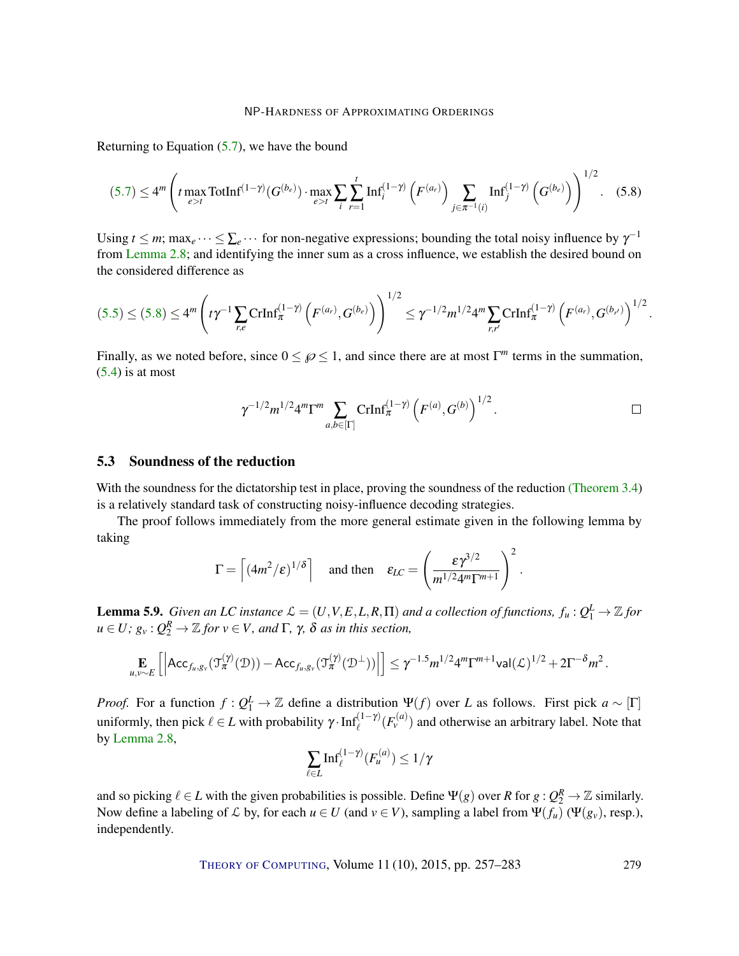Returning to Equation (5.7), we have the bound

$$
(5.7) \le 4^m \left( t \max_{e>t} \text{TotInf}^{(1-\gamma)}(G^{(b_e)}) \cdot \max_{e>t} \sum_{i} \sum_{r=1}^t \text{Inf}_i^{(1-\gamma)}\left(F^{(a_r)}\right) \sum_{j \in \pi^{-1}(i)} \text{Inf}_j^{(1-\gamma)}\left(G^{(b_e)}\right) \right)^{1/2}.
$$
 (5.8)

Using  $t \le m$ ; max<sub>e</sub> ···  $\le \sum_{e}$  ··· for non-negative expressions; bounding the total noisy influence by  $\gamma^{-1}$ from Lemma 2.8; and identifying the inner sum as a cross influence, we establish the desired bound on the considered difference as

$$
(5.5) \le (5.8) \le 4^m \left( t \gamma^{-1} \sum_{r,e} \text{CrInf}_{\pi}^{(1-\gamma)} \left( F^{(a_r)}, G^{(b_e)} \right) \right)^{1/2} \le \gamma^{-1/2} m^{1/2} 4^m \sum_{r,r'} \text{CrInf}_{\pi}^{(1-\gamma)} \left( F^{(a_r)}, G^{(b_{r'})} \right)^{1/2}.
$$

Finally, as we noted before, since  $0 \le \varnothing \le 1$ , and since there are at most  $\Gamma^m$  terms in the summation,  $(5.4)$  is at most

$$
\gamma^{-1/2}m^{1/2}4^m\Gamma^m\sum_{a,b\in[\Gamma]}\mathrm{CrInf}_{\pi}^{(1-\gamma)}\left(F^{(a)},G^{(b)}\right)^{1/2}.
$$

.

#### 5.3 Soundness of the reduction

With the soundness for the dictatorship test in place, proving the soundness of the reduction (Theorem 3.4) is a relatively standard task of constructing noisy-influence decoding strategies.

The proof follows immediately from the more general estimate given in the following lemma by taking

$$
\Gamma = \left[ (4m^2/\varepsilon)^{1/\delta} \right] \quad \text{and then} \quad \varepsilon_{LC} = \left( \frac{\varepsilon \gamma^{3/2}}{m^{1/2} 4^m \Gamma^{m+1}} \right)^2
$$

**Lemma 5.9.** Given an LC instance  $\mathcal{L} = (U, V, E, L, R, \Pi)$  and a collection of functions,  $f_u: Q_1^L \to \mathbb{Z}$  for  $u \in U$ ;  $g_v: Q_2^R \to \mathbb{Z}$  for  $v \in V$ , and  $\Gamma$ ,  $\gamma$ ,  $\delta$  as in this section,

$$
\mathop{\mathbf{E}}_{u,v\sim E}\left[\left|\mathsf{Acc}_{f_u,g_v}(\mathfrak{I}_{\pi}^{(\gamma)}(\mathcal{D}))-\mathsf{Acc}_{f_u,g_v}(\mathfrak{I}_{\pi}^{(\gamma)}(\mathcal{D}^\perp))\right|\right]\leq \gamma^{-1.5}m^{1/2}4^m\Gamma^{m+1}\mathsf{val}(\mathcal{L})^{1/2}+2\Gamma^{-\delta}m^2\,.
$$

*Proof.* For a function  $f: Q_1^L \to \mathbb{Z}$  define a distribution  $\Psi(f)$  over *L* as follows. First pick  $a \sim [\Gamma]$ uniformly, then pick  $\ell \in L$  with probability  $\gamma \cdot \text{Inf}_{\ell}^{(1-\gamma)}(F_v^{(a)})$  and otherwise an arbitrary label. Note that by Lemma 2.8,

$$
\sum_{\ell \in L} \mathrm{Inf}_{\ell}^{(1-\gamma)}(F_u^{(a)}) \le 1/\gamma
$$

and so picking  $\ell \in L$  with the given probabilities is possible. Define  $\Psi(g)$  over *R* for  $g: Q_2^R \to \mathbb{Z}$  similarly. Now define a labeling of  $\mathcal L$  by, for each  $u \in U$  (and  $v \in V$ ), sampling a label from  $\Psi(f_u)$  ( $\Psi(g_v)$ , resp.), independently.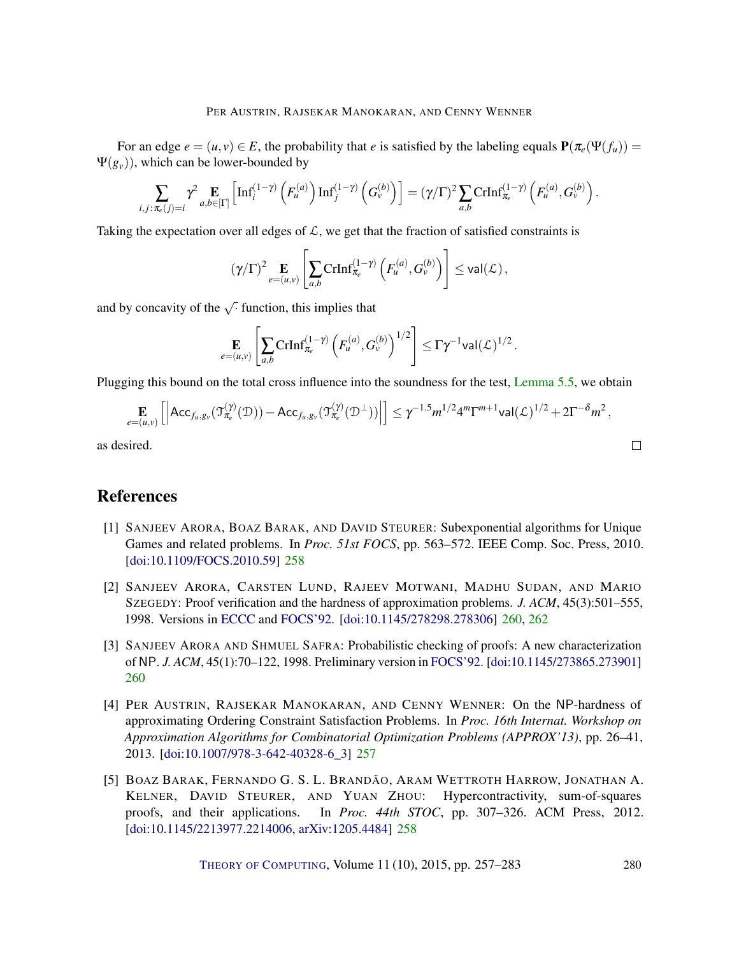#### PER AUSTRIN, RAJSEKAR MANOKARAN, AND CENNY WENNER

For an edge  $e = (u, v) \in E$ , the probability that *e* is satisfied by the labeling equals  $P(\pi_e(\Psi(f_u)))$  $\Psi(g_v)$ ), which can be lower-bounded by

$$
\sum_{i,j:\pi_e(j)=i} \gamma^2 \underset{a,b\in[\Gamma]}{\mathbf{E}} \left[ \mathrm{Inf}_i^{(1-\gamma)}\left(F_u^{(a)}\right) \mathrm{Inf}_j^{(1-\gamma)}\left(G_v^{(b)}\right) \right] = (\gamma/\Gamma)^2 \sum_{a,b} \mathrm{CrInf}_{\pi_e}^{(1-\gamma)}\left(F_u^{(a)},G_v^{(b)}\right).
$$

Taking the expectation over all edges of  $\mathcal{L}$ , we get that the fraction of satisfied constraints is

$$
(\gamma/\Gamma)^2 \underset{e=(u,v)}{\mathbf{E}} \left[ \sum_{a,b} \text{CrInf}_{\pi_e}^{(1-\gamma)} \left( F_u^{(a)}, G_v^{(b)} \right) \right] \leq \text{val}(\mathcal{L}),
$$

and by concavity of the  $\sqrt{\cdot}$  function, this implies that

$$
\mathop{\mathbf{E}}_{e=(u,v)} \left[ \sum_{a,b} \text{CrInf}_{\pi_e}^{(1-\gamma)} \left(F_u^{(a)}, G_v^{(b)}\right)^{1/2} \right] \leq \Gamma \gamma^{-1} \textsf{val}(\mathcal{L})^{1/2} \,.
$$

Plugging this bound on the total cross influence into the soundness for the test, Lemma 5.5, we obtain

$$
\mathop{\mathbf{E}}_{e=(u,v)}\left[\left|\mathsf{Acc}_{f_u,g_v}(\mathfrak{T}_{\pi_e}^{(\gamma)}(\mathcal{D})) - \mathsf{Acc}_{f_u,g_v}(\mathfrak{T}_{\pi_e}^{(\gamma)}(\mathcal{D}^{\perp}))\right|\right] \leq \gamma^{-1.5} m^{1/2} 4^m \Gamma^{m+1} \mathsf{val}(\mathcal{L})^{1/2} + 2\Gamma^{-\delta} m^2,
$$

as desired.

# References

- [1] SANJEEV ARORA, BOAZ BARAK, AND DAVID STEURER: Subexponential algorithms for Unique Games and related problems. In *Proc. 51st FOCS*, pp. 563–572. IEEE Comp. Soc. Press, 2010. [doi:10.1109/FOCS.2010.59] 258
- [2] SANJEEV ARORA, CARSTEN LUND, RAJEEV MOTWANI, MADHU SUDAN, AND MARIO SZEGEDY: Proof verification and the hardness of approximation problems. *J. ACM*, 45(3):501–555, 1998. Versions in ECCC and FOCS'92. [doi:10.1145/278298.278306] 260, 262
- [3] SANJEEV ARORA AND SHMUEL SAFRA: Probabilistic checking of proofs: A new characterization of NP. *J. ACM*, 45(1):70–122, 1998. Preliminary version in FOCS'92. [doi:10.1145/273865.273901] 260
- [4] PER AUSTRIN, RAJSEKAR MANOKARAN, AND CENNY WENNER: On the NP-hardness of approximating Ordering Constraint Satisfaction Problems. In *Proc. 16th Internat. Workshop on Approximation Algorithms for Combinatorial Optimization Problems (APPROX'13)*, pp. 26–41, 2013. [doi:10.1007/978-3-642-40328-6\_3] 257
- [5] BOAZ BARAK, FERNANDO G. S. L. BRANDÃO, ARAM WETTROTH HARROW, JONATHAN A. KELNER, DAVID STEURER, AND YUAN ZHOU: Hypercontractivity, sum-of-squares proofs, and their applications. In *Proc. 44th STOC*, pp. 307–326. ACM Press, 2012. [doi:10.1145/2213977.2214006, arXiv:1205.4484] 258

THEORY OF COMPUTING, Volume 11 (10), 2015, pp. 257–283 280

 $\Box$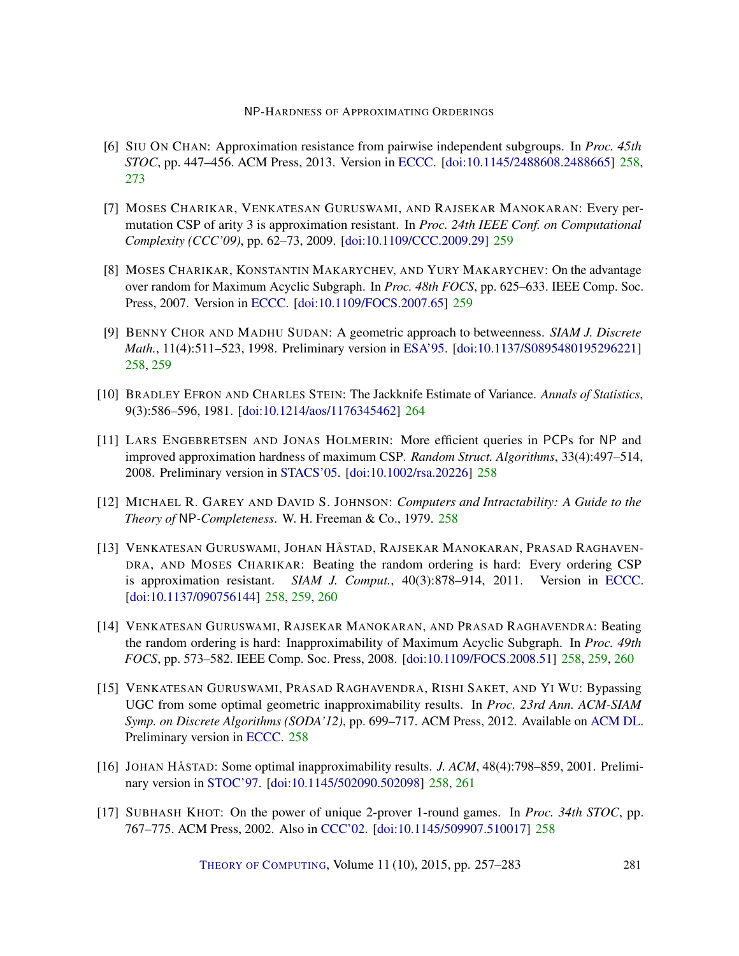- [6] SIU ON CHAN: Approximation resistance from pairwise independent subgroups. In *Proc. 45th STOC*, pp. 447–456. ACM Press, 2013. Version in ECCC. [doi:10.1145/2488608.2488665] 258, 273
- [7] MOSES CHARIKAR, VENKATESAN GURUSWAMI, AND RAJSEKAR MANOKARAN: Every permutation CSP of arity 3 is approximation resistant. In *Proc. 24th IEEE Conf. on Computational Complexity (CCC'09)*, pp. 62–73, 2009. [doi:10.1109/CCC.2009.29] 259
- [8] MOSES CHARIKAR, KONSTANTIN MAKARYCHEV, AND YURY MAKARYCHEV: On the advantage over random for Maximum Acyclic Subgraph. In *Proc. 48th FOCS*, pp. 625–633. IEEE Comp. Soc. Press, 2007. Version in ECCC. [doi:10.1109/FOCS.2007.65] 259
- [9] BENNY CHOR AND MADHU SUDAN: A geometric approach to betweenness. *SIAM J. Discrete Math.*, 11(4):511–523, 1998. Preliminary version in ESA'95. [doi:10.1137/S0895480195296221] 258, 259
- [10] BRADLEY EFRON AND CHARLES STEIN: The Jackknife Estimate of Variance. *Annals of Statistics*, 9(3):586–596, 1981. [doi:10.1214/aos/1176345462] 264
- [11] LARS ENGEBRETSEN AND JONAS HOLMERIN: More efficient queries in PCPs for NP and improved approximation hardness of maximum CSP. *Random Struct. Algorithms*, 33(4):497–514, 2008. Preliminary version in STACS'05. [doi:10.1002/rsa.20226] 258
- [12] MICHAEL R. GAREY AND DAVID S. JOHNSON: *Computers and Intractability: A Guide to the Theory of* NP*-Completeness*. W. H. Freeman & Co., 1979. 258
- [13] VENKATESAN GURUSWAMI, JOHAN HÅSTAD, RAJSEKAR MANOKARAN, PRASAD RAGHAVEN-DRA, AND MOSES CHARIKAR: Beating the random ordering is hard: Every ordering CSP is approximation resistant. *SIAM J. Comput.*, 40(3):878–914, 2011. Version in ECCC. [doi:10.1137/090756144] 258, 259, 260
- [14] VENKATESAN GURUSWAMI, RAJSEKAR MANOKARAN, AND PRASAD RAGHAVENDRA: Beating the random ordering is hard: Inapproximability of Maximum Acyclic Subgraph. In *Proc. 49th FOCS*, pp. 573–582. IEEE Comp. Soc. Press, 2008. [doi:10.1109/FOCS.2008.51] 258, 259, 260
- [15] VENKATESAN GURUSWAMI, PRASAD RAGHAVENDRA, RISHI SAKET, AND YI WU: Bypassing UGC from some optimal geometric inapproximability results. In *Proc. 23rd Ann. ACM-SIAM Symp. on Discrete Algorithms (SODA'12)*, pp. 699–717. ACM Press, 2012. Available on ACM DL. Preliminary version in ECCC. 258
- [16] JOHAN HÅSTAD: Some optimal inapproximability results. *J. ACM*, 48(4):798–859, 2001. Preliminary version in STOC'97. [doi:10.1145/502090.502098] 258, 261
- [17] SUBHASH KHOT: On the power of unique 2-prover 1-round games. In *Proc. 34th STOC*, pp. 767–775. ACM Press, 2002. Also in CCC'02. [doi:10.1145/509907.510017] 258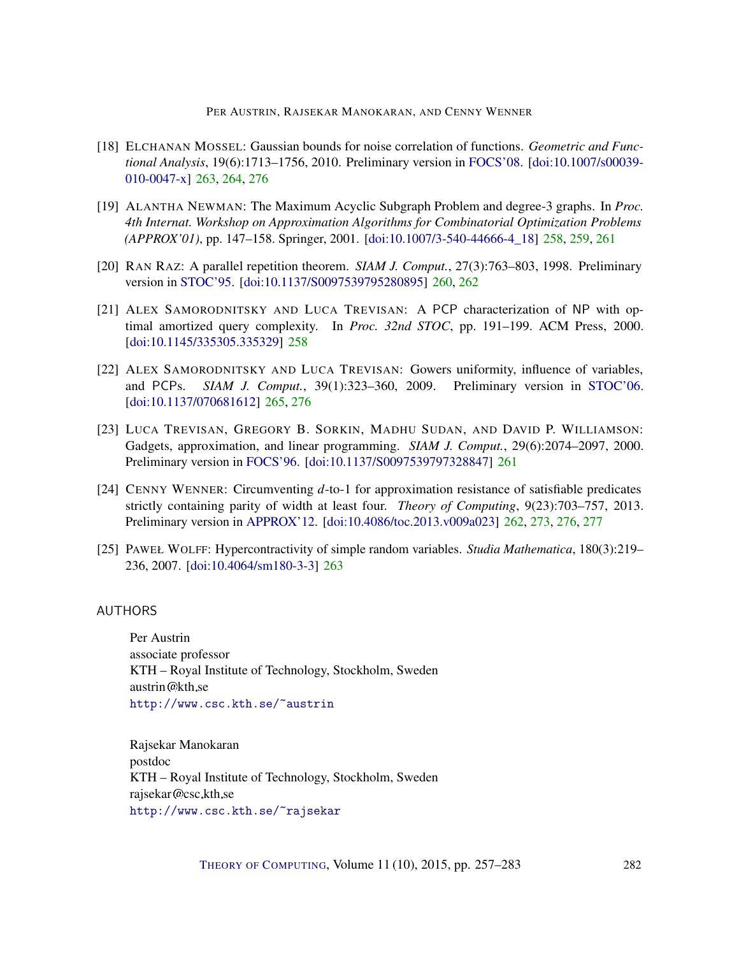#### PER AUSTRIN, RAJSEKAR MANOKARAN, AND CENNY WENNER

- [18] ELCHANAN MOSSEL: Gaussian bounds for noise correlation of functions. *Geometric and Functional Analysis*, 19(6):1713–1756, 2010. Preliminary version in FOCS'08. [doi:10.1007/s00039- 010-0047-x] 263, 264, 276
- [19] ALANTHA NEWMAN: The Maximum Acyclic Subgraph Problem and degree-3 graphs. In *Proc. 4th Internat. Workshop on Approximation Algorithms for Combinatorial Optimization Problems (APPROX'01)*, pp. 147–158. Springer, 2001. [doi:10.1007/3-540-44666-4\_18] 258, 259, 261
- [20] RAN RAZ: A parallel repetition theorem. *SIAM J. Comput.*, 27(3):763–803, 1998. Preliminary version in STOC'95. [doi:10.1137/S0097539795280895] 260, 262
- [21] ALEX SAMORODNITSKY AND LUCA TREVISAN: A PCP characterization of NP with optimal amortized query complexity. In *Proc. 32nd STOC*, pp. 191–199. ACM Press, 2000. [doi:10.1145/335305.335329] 258
- [22] ALEX SAMORODNITSKY AND LUCA TREVISAN: Gowers uniformity, influence of variables, and PCPs. *SIAM J. Comput.*, 39(1):323–360, 2009. Preliminary version in STOC'06. [doi:10.1137/070681612] 265, 276
- [23] LUCA TREVISAN, GREGORY B. SORKIN, MADHU SUDAN, AND DAVID P. WILLIAMSON: Gadgets, approximation, and linear programming. *SIAM J. Comput.*, 29(6):2074–2097, 2000. Preliminary version in FOCS'96. [doi:10.1137/S0097539797328847] 261
- [24] CENNY WENNER: Circumventing *d*-to-1 for approximation resistance of satisfiable predicates strictly containing parity of width at least four. *Theory of Computing*, 9(23):703–757, 2013. Preliminary version in APPROX'12. [doi:10.4086/toc.2013.v009a023] 262, 273, 276, 277
- [25] PAWEŁ WOLFF: Hypercontractivity of simple random variables. *Studia Mathematica*, 180(3):219– 236, 2007. [doi:10.4064/sm180-3-3] 263

## AUTHORS

Per Austrin associate professor KTH – Royal Institute of Technology, Stockholm, Sweden austrin @kth se http://www.csc.kth.se/~austrin

Rajsekar Manokaran postdoc KTH – Royal Institute of Technology, Stockholm, Sweden rajsekar@csc.kth.se http://www.csc.kth.se/~rajsekar